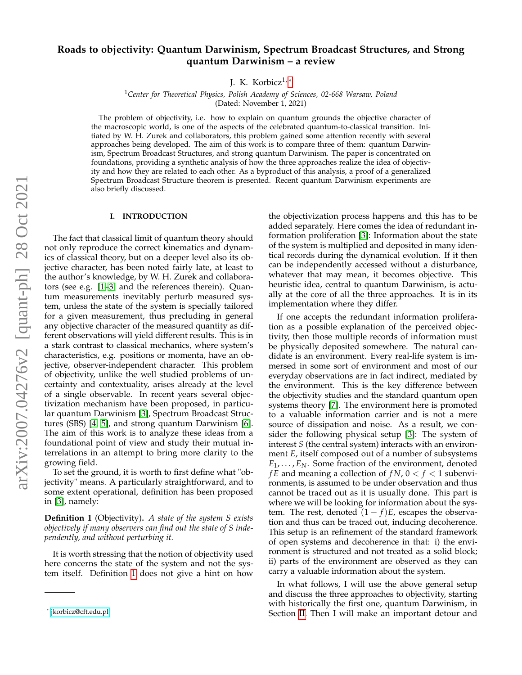# **Roads to objectivity: Quantum Darwinism, Spectrum Broadcast Structures, and Strong quantum Darwinism – a review**

J. K. Korbicz<sup>1,[\\*](#page-0-0)</sup>

<sup>1</sup>*Center for Theoretical Physics, Polish Academy of Sciences, 02-668 Warsaw, Poland* (Dated: November 1, 2021)

The problem of objectivity, i.e. how to explain on quantum grounds the objective character of the macroscopic world, is one of the aspects of the celebrated quantum-to-classical transition. Initiated by W. H. Zurek and collaborators, this problem gained some attention recently with several approaches being developed. The aim of this work is to compare three of them: quantum Darwinism, Spectrum Broadcast Structures, and strong quantum Darwinism. The paper is concentrated on foundations, providing a synthetic analysis of how the three approaches realize the idea of objectivity and how they are related to each other. As a byproduct of this analysis, a proof of a generalized Spectrum Broadcast Structure theorem is presented. Recent quantum Darwinism experiments are also briefly discussed.

# **I. INTRODUCTION**

The fact that classical limit of quantum theory should not only reproduce the correct kinematics and dynamics of classical theory, but on a deeper level also its objective character, has been noted fairly late, at least to the author's knowledge, by W. H. Zurek and collaborators (see e.g. [\[1–](#page-14-0)[3\]](#page-14-1) and the references therein). Quantum measurements inevitably perturb measured system, unless the state of the system is specially tailored for a given measurement, thus precluding in general any objective character of the measured quantity as different observations will yield different results. This is in a stark contrast to classical mechanics, where system's characteristics, e.g. positions or momenta, have an objective, observer-independent character. This problem of objectivity, unlike the well studied problems of uncertainty and contextuality, arises already at the level of a single observable. In recent years several objectivization mechanism have been proposed, in particular quantum Darwinism [\[3\]](#page-14-1), Spectrum Broadcast Structures (SBS) [\[4,](#page-14-2) [5\]](#page-14-3), and strong quantum Darwinism [\[6\]](#page-14-4). The aim of this work is to analyze these ideas from a foundational point of view and study their mutual interrelations in an attempt to bring more clarity to the growing field.

To set the ground, it is worth to first define what "objectivity" means. A particularly straightforward, and to some extent operational, definition has been proposed in [\[3\]](#page-14-1), namely:

<span id="page-0-1"></span>**Definition 1** (Objectivity)**.** *A state of the system S exists objectively if many observers can find out the state of S independently, and without perturbing it.*

It is worth stressing that the notion of objectivity used here concerns the state of the system and not the system itself. Definition [1](#page-0-1) does not give a hint on how the objectivization process happens and this has to be added separately. Here comes the idea of redundant information proliferation [\[3\]](#page-14-1): Information about the state of the system is multiplied and deposited in many identical records during the dynamical evolution. If it then can be independently accessed without a disturbance, whatever that may mean, it becomes objective. This heuristic idea, central to quantum Darwinism, is actually at the core of all the three approaches. It is in its implementation where they differ.

If one accepts the redundant information proliferation as a possible explanation of the perceived objectivity, then those multiple records of information must be physically deposited somewhere. The natural candidate is an environment. Every real-life system is immersed in some sort of environment and most of our everyday observations are in fact indirect, mediated by the environment. This is the key difference between the objectivity studies and the standard quantum open systems theory [\[7\]](#page-14-5). The environment here is promoted to a valuable information carrier and is not a mere source of dissipation and noise. As a result, we consider the following physical setup [\[3\]](#page-14-1): The system of interest *S* (the central system) interacts with an environment *E*, itself composed out of a number of subsystems  $E_1, \ldots, E_N$ . Some fraction of the environment, denoted *f E* and meaning a collection of  $fN$ ,  $0 < f < 1$  subenvironments, is assumed to be under observation and thus cannot be traced out as it is usually done. This part is where we will be looking for information about the system. The rest, denoted  $(1 - f)E$ , escapes the observation and thus can be traced out, inducing decoherence. This setup is an refinement of the standard framework of open systems and decoherence in that: i) the environment is structured and not treated as a solid block; ii) parts of the environment are observed as they can carry a valuable information about the system.

In what follows, I will use the above general setup and discuss the three approaches to objectivity, starting with historically the first one, quantum Darwinism, in Section [II.](#page-1-0) Then I will make an important detour and

<span id="page-0-0"></span><sup>\*</sup> [jkorbicz@cft.edu.pl](mailto:jkorbicz@cft.edu.pl)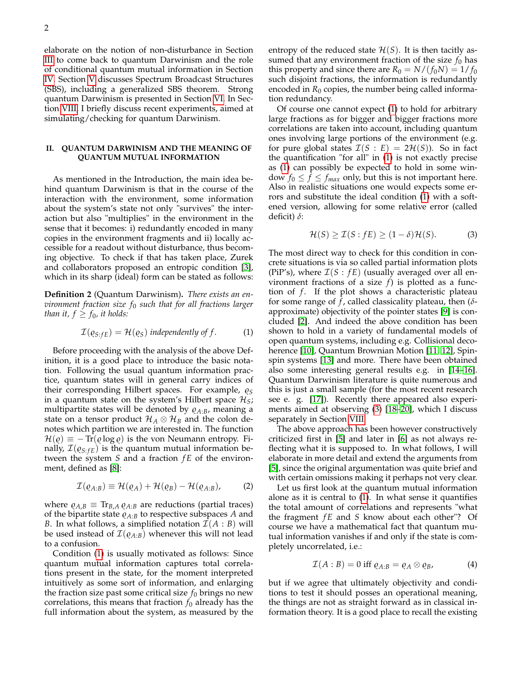elaborate on the notion of non-disturbance in Section [III](#page-2-0) to come back to quantum Darwinism and the role of conditional quantum mutual information in Section [IV.](#page-4-0) Section [V](#page-5-0) discusses Spectrum Broadcast Structures (SBS), including a generalized SBS theorem. Strong quantum Darwinism is presented in Section [VI.](#page-9-0) In Section [VIII,](#page-13-0) I briefly discuss recent experiments, aimed at simulating/checking for quantum Darwinism.

### <span id="page-1-0"></span>**II. QUANTUM DARWINISM AND THE MEANING OF QUANTUM MUTUAL INFORMATION**

As mentioned in the Introduction, the main idea behind quantum Darwinism is that in the course of the interaction with the environment, some information about the system's state not only "survives" the interaction but also "multiplies" in the environment in the sense that it becomes: i) redundantly encoded in many copies in the environment fragments and ii) locally accessible for a readout without disturbance, thus becoming objective. To check if that has taken place, Zurek and collaborators proposed an entropic condition [\[3\]](#page-14-1), which in its sharp (ideal) form can be stated as follows:

**Definition 2** (Quantum Darwinism)**.** *There exists an environment fraction size f*<sup>0</sup> *such that for all fractions larger than it,*  $f \geq f_0$ *, it holds:* 

<span id="page-1-1"></span>
$$
\mathcal{I}(\varrho_{S:FE}) = \mathcal{H}(\varrho_S) \text{ independently of } f. \tag{1}
$$

Before proceeding with the analysis of the above Definition, it is a good place to introduce the basic notation. Following the usual quantum information practice, quantum states will in general carry indices of their corresponding Hilbert spaces. For example,  $\varrho_S$ in a quantum state on the system's Hilbert space  $\mathcal{H}_S$ ; multipartite states will be denoted by  $\rho_{A:B}$ , meaning a state on a tensor product  $\mathcal{H}_A \otimes \mathcal{H}_B$  and the colon denotes which partition we are interested in. The function  $\mathcal{H}(\varrho) \equiv -\text{Tr}(\varrho \log \varrho)$  is the von Neumann entropy. Finally,  $\mathcal{I}(q_{S:FE})$  is the quantum mutual information between the system *S* and a fraction *f E* of the environment, defined as [\[8\]](#page-15-0):

<span id="page-1-3"></span>
$$
\mathcal{I}(\varrho_{A:B}) \equiv \mathcal{H}(\varrho_A) + \mathcal{H}(\varrho_B) - \mathcal{H}(\varrho_{A:B}), \tag{2}
$$

where  $\rho_{A,B} \equiv \text{Tr}_{B,A} \rho_{A:B}$  are reductions (partial traces) of the bipartite state  $\rho_{A:B}$  to respective subspaces *A* and *B*. In what follows, a simplified notation  $\mathcal{I}(A : B)$  will be used instead of  $\mathcal{I}(\varrho_{A:B})$  whenever this will not lead to a confusion.

Condition [\(1\)](#page-1-1) is usually motivated as follows: Since quantum mutual information captures total correlations present in the state, for the moment interpreted intuitively as some sort of information, and enlarging the fraction size past some critical size  $f_0$  brings no new correlations, this means that fraction  $f_0$  already has the full information about the system, as measured by the entropy of the reduced state  $\mathcal{H}(S)$ . It is then tacitly assumed that any environment fraction of the size  $f_0$  has this property and since there are  $R_0 = N/(f_0 N) = 1/f_0$ such disjoint fractions, the information is redundantly encoded in  $R_0$  copies, the number being called information redundancy.

Of course one cannot expect [\(1\)](#page-1-1) to hold for arbitrary large fractions as for bigger and bigger fractions more correlations are taken into account, including quantum ones involving large portions of the environment (e.g. for pure global states  $\mathcal{I}(S : E) = 2\mathcal{H}(S)$ . So in fact the quantification "for all" in [\(1\)](#page-1-1) is not exactly precise as [\(1\)](#page-1-1) can possibly be expected to hold in some window  $f_0 \le f \le f_{max}$  only, but this is not important here. Also in realistic situations one would expects some errors and substitute the ideal condition [\(1\)](#page-1-1) with a softened version, allowing for some relative error (called deficit) *δ*:

<span id="page-1-2"></span>
$$
\mathcal{H}(S) \ge \mathcal{I}(S : fE) \ge (1 - \delta)\mathcal{H}(S). \tag{3}
$$

The most direct way to check for this condition in concrete situations is via so called partial information plots (PiP's), where  $\mathcal{I}(S : fE)$  (usually averaged over all environment fractions of a size *f*) is plotted as a function of *f*. If the plot shows a characteristic plateau for some range of *f* , called classicality plateau, then (*δ*approximate) objectivity of the pointer states [\[9\]](#page-15-1) is concluded [\[2\]](#page-14-6). And indeed the above condition has been shown to hold in a variety of fundamental models of open quantum systems, including e.g. Collisional decoherence [\[10\]](#page-15-2), Quantum Brownian Motion [\[11,](#page-15-3) [12\]](#page-15-4), Spinspin systems [\[13\]](#page-15-5) and more. There have been obtained also some interesting general results e.g. in [\[14](#page-15-6)[–16\]](#page-15-7). Quantum Darwinism literature is quite numerous and this is just a small sample (for the most recent research see e. g. [\[17\]](#page-15-8)). Recently there appeared also experiments aimed at observing [\(3\)](#page-1-2) [\[18](#page-15-9)[–20\]](#page-15-10), which I discuss separately in Section [VIII.](#page-13-0)

The above approach has been however constructively criticized first in [\[5\]](#page-14-3) and later in [\[6\]](#page-14-4) as not always reflecting what it is supposed to. In what follows, I will elaborate in more detail and extend the arguments from [\[5\]](#page-14-3), since the original argumentation was quite brief and with certain omissions making it perhaps not very clear.

Let us first look at the quantum mutual information alone as it is central to [\(1\)](#page-1-1). In what sense it quantifies the total amount of correlations and represents "what the fragment *f E* and *S* know about each other"? Of course we have a mathematical fact that quantum mutual information vanishes if and only if the state is completely uncorrelated, i.e.:

$$
\mathcal{I}(A:B) = 0 \text{ iff } \varrho_{A:B} = \varrho_A \otimes \varrho_B, \tag{4}
$$

but if we agree that ultimately objectivity and conditions to test it should posses an operational meaning, the things are not as straight forward as in classical information theory. It is a good place to recall the existing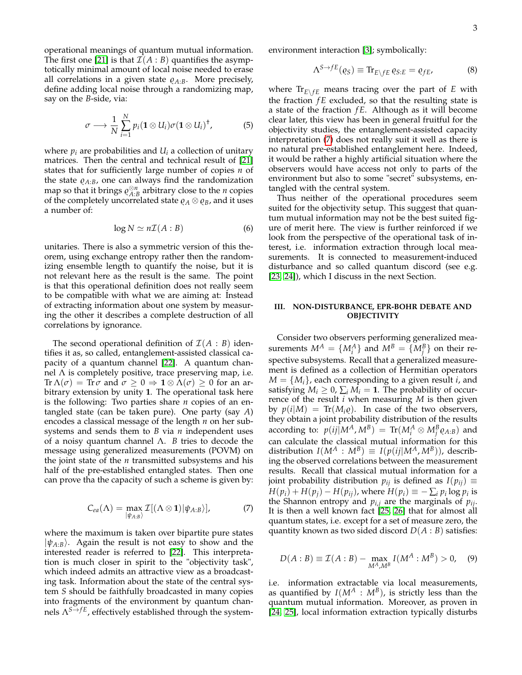operational meanings of quantum mutual information. The first one [\[21\]](#page-15-11) is that  $\mathcal{I}(A : B)$  quantifies the asymptotically minimal amount of local noise needed to erase all correlations in a given state  $\rho_{A:B}$ . More precisely, define adding local noise through a randomizing map, say on the *B*-side, via:

$$
\sigma \longrightarrow \frac{1}{N} \sum_{i=1}^{N} p_i (\mathbf{1} \otimes U_i) \sigma (\mathbf{1} \otimes U_i)^{\dagger}, \tag{5}
$$

where  $p_i$  are probabilities and  $U_i$  a collection of unitary matrices. Then the central and technical result of [\[21\]](#page-15-11) states that for sufficiently large number of copies *n* of the state  $\rho_{A:B}$ , one can always find the randomization map so that it brings  $\rho_{A:B}^{\otimes n}$  arbitrary close to the *n* copies of the completely uncorrelated state  $\rho_A \otimes \rho_B$ , and it uses a number of:

$$
\log N \simeq n\mathcal{I}(A:B) \tag{6}
$$

unitaries. There is also a symmetric version of this theorem, using exchange entropy rather then the randomizing ensemble length to quantify the noise, but it is not relevant here as the result is the same. The point is that this operational definition does not really seem to be compatible with what we are aiming at: Instead of extracting information about one system by measuring the other it describes a complete destruction of all correlations by ignorance.

The second operational definition of  $\mathcal{I}(A : B)$  identifies it as, so called, entanglement-assisted classical capacity of a quantum channel [\[22\]](#page-15-12). A quantum channel  $\Lambda$  is completely positive, trace preserving map, i.e.  $\text{Tr }\Lambda(\sigma) = \text{Tr }\sigma \text{ and } \sigma \geq 0 \Rightarrow \mathbf{1} \otimes \Lambda(\sigma) \geq 0 \text{ for an ar-}$ bitrary extension by unity **1**. The operational task here is the following: Two parties share *n* copies of an entangled state (can be taken pure). One party (say *A*) encodes a classical message of the length *n* on her subsystems and sends them to *B* via *n* independent uses of a noisy quantum channel Λ. *B* tries to decode the message using generalized measurements (POVM) on the joint state of the *n* transmitted subsystems and his half of the pre-established entangled states. Then one can prove tha the capacity of such a scheme is given by:

$$
C_{ea}(\Lambda) = \max_{|\psi_{A:B}\rangle} \mathcal{I}[(\Lambda \otimes \mathbf{1})|\psi_{A:B}\rangle],
$$
 (7)

<span id="page-2-1"></span>where the maximum is taken over bipartite pure states  $|\psi_{A:B}\rangle$ . Again the result is not easy to show and the interested reader is referred to [\[22\]](#page-15-12). This interpretation is much closer in spirit to the "objectivity task", which indeed admits an attractive view as a broadcasting task. Information about the state of the central system *S* should be faithfully broadcasted in many copies into fragments of the environment by quantum channels  $\Lambda^{S \rightarrow fE}$ , effectively established through the systemenvironment interaction [\[3\]](#page-14-1); symbolically:

$$
\Lambda^{S \to fE}(\varrho_S) \equiv \text{Tr}_{E \setminus fE} \, \varrho_{S:E} = \varrho_{fE},\tag{8}
$$

where  $Tr_{E\setminus fE}$  means tracing over the part of *E* with the fraction *f E* excluded, so that the resulting state is a state of the fraction *f E*. Although as it will become clear later, this view has been in general fruitful for the objectivity studies, the entanglement-assisted capacity interpretation [\(7\)](#page-2-1) does not really suit it well as there is no natural pre-established entanglement here. Indeed, it would be rather a highly artificial situation where the observers would have access not only to parts of the environment but also to some "secret" subsystems, entangled with the central system.

Thus neither of the operational procedures seem suited for the objectivity setup. This suggest that quantum mutual information may not be the best suited figure of merit here. The view is further reinforced if we look from the perspective of the operational task of interest, i.e. information extraction through local measurements. It is connected to measurement-induced disturbance and so called quantum discord (see e.g. [\[23,](#page-15-13) [24\]](#page-15-14)), which I discuss in the next Section.

# <span id="page-2-0"></span>**III. NON-DISTURBANCE, EPR-BOHR DEBATE AND OBJECTIVITY**

Consider two observers performing generalized measurements  $M^A = \{M^A_i\}$  and  $M^B = \{M^B_j\}$  on their respective subsystems. Recall that a generalized measurement is defined as a collection of Hermitian operators  $M = \{M_i\}$ , each corresponding to a given result *i*, and satisfying  $M_i \geq 0$ ,  $\sum_i M_i = 1$ . The probability of occurrence of the result *i* when measuring *M* is then given by  $p(i|M) = \text{Tr}(M_i \rho)$ . In case of the two observers, they obtain a joint probability distribution of the results according to:  $p(ij|M^A,M^B) = \text{Tr}(M^A_i \otimes M^B_j \varrho_{A:B})$  and can calculate the classical mutual information for this distribution  $I(M^A : M^B) \equiv I(p(ij|M^A, M^B))$ , describing the observed correlations between the measurement results. Recall that classical mutual information for a joint probability distribution  $p_{ij}$  is defined as  $I(p_{ij}) \equiv$  $H(p_i) + H(p_j) - H(p_{ij})$ , where  $H(p_i) \equiv -\sum_i p_i \log p_i$  is the Shannon entropy and  $p_{i,j}$  are the marginals of  $p_{ij}$ . It is then a well known fact [\[25,](#page-15-15) [26\]](#page-15-16) that for almost all quantum states, i.e. except for a set of measure zero, the quantity known as two sided discord  $D(A : B)$  satisfies:

<span id="page-2-2"></span>
$$
D(A:B) \equiv \mathcal{I}(A:B) - \max_{M^A, M^B} I(M^A:M^B) > 0, \quad (9)
$$

i.e. information extractable via local measurements, as quantified by  $I(M^A \, : \, M^B)$ , is strictly less than the quantum mutual information. Moreover, as proven in [\[24,](#page-15-14) [25\]](#page-15-15), local information extraction typically disturbs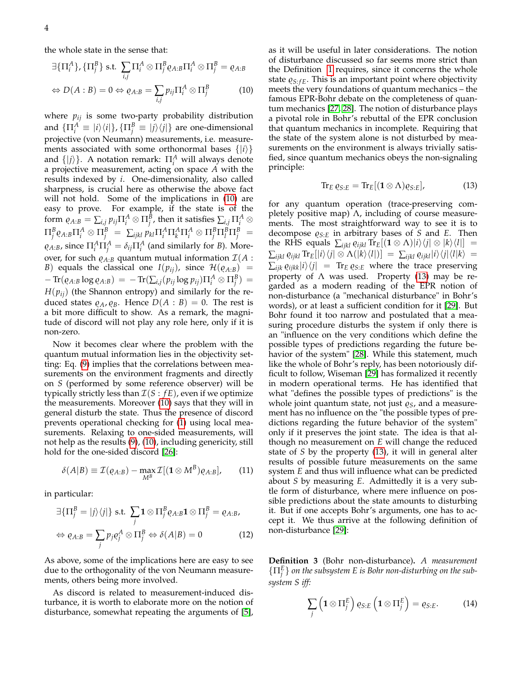the whole state in the sense that:

<span id="page-3-0"></span>
$$
\exists {\{\Pi_i^A\}, \{\Pi_j^B\} \text{ s.t. } \sum_{i,j} \Pi_i^A \otimes \Pi_j^B \varrho_{A:B} \Pi_i^A \otimes \Pi_j^B = \varrho_{A:B}}
$$
  
\n
$$
\Leftrightarrow D(A:B) = 0 \Leftrightarrow \varrho_{A:B} = \sum_{i,j} p_{ij} \Pi_i^A \otimes \Pi_j^B
$$
 (10)

where  $p_{ij}$  is some two-party probability distribution and  $\{\Pi_i^A \equiv |i\rangle\langle i|\}$ ,  $\{\Pi_j^B \equiv |j\rangle\langle j|\}$  are one-dimensional projective (von Neumann) measurements, i.e. measurements associated with some orthonormal bases  $\{|i\rangle\}$ and  $\{|j\rangle\}$ . A notation remark:  $\Pi_i^A$  will always denote a projective measurement, acting on space *A* with the results indexed by *i*. One-dimensionality, also called sharpness, is crucial here as otherwise the above fact will not hold. Some of the implications in [\(10\)](#page-3-0) are easy to prove. For example, if the state is of the  $f$ orm  $\varrho_{A:B}=\sum_{i,j}p_{ij}\Pi_{i}^{A}\otimes\Pi_{j}^{B}$ , then it satisfies  $\sum_{i,j}\Pi_{i}^{A}\otimes\Pi_{j}^{B}$  $\Pi_j^B \varrho_{A:B} \Pi_i^A \otimes \Pi_j^B \,\, = \,\, \sum_{ijkl} p_{kl} \Pi_i^A \Pi_k^A \Pi_i^A \otimes \Pi_j^B \Pi_l^B \Pi_j^B \,\, = \,\,$  $\varrho_{A:B}$ , since  $\Pi_i^A \Pi_j^A = \delta_{ij} \Pi_i^A$  (and similarly for *B*). Moreover, for such  $\varrho_{A:B}$  quantum mutual information  $\mathcal{I}(A)$ : *B*) equals the classical one *I*( $p_{ij}$ ), since  $\mathcal{H}(Q_{A:B})$  =  $-\operatorname{Tr}(\varrho_{A:B}\log \varrho_{A:B}) = -\operatorname{Tr}(\sum_{i,j}(\mathit{p}_{ij}\log \mathit{p}_{ij})\Pi_{i}^{A}\otimes \Pi_{j}^{B}) =$  $H(p_{ij})$  (the Shannon entropy) and similarly for the reduced states  $\rho_A$ ,  $\rho_B$ . Hence  $D(A : B) = 0$ . The rest is a bit more difficult to show. As a remark, the magnitude of discord will not play any role here, only if it is non-zero.

Now it becomes clear where the problem with the quantum mutual information lies in the objectivity setting: Eq. [\(9\)](#page-2-2) implies that the correlations between measurements on the environment fragments and directly on *S* (performed by some reference observer) will be typically strictly less than  $\mathcal{I}(S : fE)$ , even if we optimize the measurements. Moreover [\(10\)](#page-3-0) says that they will in general disturb the state. Thus the presence of discord prevents operational checking for [\(1\)](#page-1-1) using local measurements. Relaxing to one-sided measurements, will not help as the results [\(9\)](#page-2-2), [\(10\)](#page-3-0), including genericity, still hold for the one-sided discord [\[26\]](#page-15-16):

<span id="page-3-4"></span>
$$
\delta(A|B) \equiv \mathcal{I}(\varrho_{A:B}) - \max_{M^B} \mathcal{I}[(\mathbf{1} \otimes M^B)\varrho_{A:B}], \quad (11)
$$

in particular:

<span id="page-3-3"></span>
$$
\exists \{\Pi_j^B = |j\rangle\langle j|\} \text{ s.t. } \sum_j \mathbf{1} \otimes \Pi_j^B \varrho_{A:B} \mathbf{1} \otimes \Pi_j^B = \varrho_{A:B},
$$
  

$$
\Leftrightarrow \varrho_{A:B} = \sum_j p_j \varrho_j^A \otimes \Pi_j^B \Leftrightarrow \delta(A|B) = 0
$$
 (12)

As above, some of the implications here are easy to see due to the orthogonality of the von Neumann measurements, others being more involved.

As discord is related to measurement-induced disturbance, it is worth to elaborate more on the notion of disturbance, somewhat repeating the arguments of [\[5\]](#page-14-3), as it will be useful in later considerations. The notion of disturbance discussed so far seems more strict than the Definition [1](#page-0-1) requires, since it concerns the whole state  $\varrho_{S:FE}$ . This is an important point where objectivity meets the very foundations of quantum mechanics – the famous EPR-Bohr debate on the completeness of quantum mechanics [\[27,](#page-15-17) [28\]](#page-15-18). The notion of disturbance plays a pivotal role in Bohr's rebuttal of the EPR conclusion that quantum mechanics in incomplete. Requiring that the state of the system alone is not disturbed by measurements on the environment is always trivially satisfied, since quantum mechanics obeys the non-signaling principle:

<span id="page-3-1"></span>
$$
\text{Tr}_E \,\varrho_{S:E} = \text{Tr}_E[(\mathbf{1} \otimes \Lambda)\varrho_{S:E}], \tag{13}
$$

for any quantum operation (trace-preserving completely positive map)  $\Lambda$ , including of course measurements. The most straightforward way to see it is to decompose  $\varrho_{S:E}$  in arbitrary bases of *S* and *E*. Then the RHS equals  $\sum_{ijkl} \varrho_{ijkl} \text{Tr}_E[(\mathbf{1} \otimes \Lambda)|i\rangle \langle j| \otimes |k\rangle \langle l|] =$  $\sum_{ijkl} \varrho_{ijkl} \operatorname{Tr}_E[i\lambda \langle j| \otimes \Lambda(|k\rangle \langle l|)] = \sum_{ijkl} \varrho_{ijkl} |i\rangle \langle j| \langle l|k\rangle =$  $\sum_{ijk} \varrho_{ijk} |i\rangle\langle j| = \text{Tr}_{E} \varrho_{S:E}$  where the trace preserving property of Λ was used. Property [\(13\)](#page-3-1) may be regarded as a modern reading of the EPR notion of non-disturbance (a "mechanical disturbance" in Bohr's words), or at least a sufficient condition for it [\[29\]](#page-15-19). But Bohr found it too narrow and postulated that a measuring procedure disturbs the system if only there is an "influence on the very conditions which define the possible types of predictions regarding the future behavior of the system" [\[28\]](#page-15-18). While this statement, much like the whole of Bohr's reply, has been notoriously difficult to follow, Wiseman [\[29\]](#page-15-19) has formalized it recently in modern operational terms. He has identified that what "defines the possible types of predictions" is the whole joint quantum state, not just  $\varrho_S$ , and a measurement has no influence on the "the possible types of predictions regarding the future behavior of the system" only if it preserves the joint state. The idea is that although no measurement on *E* will change the reduced state of *S* by the property [\(13\)](#page-3-1), it will in general alter results of possible future measurements on the same system *E* and thus will influence what can be predicted about *S* by measuring *E*. Admittedly it is a very subtle form of disturbance, where mere influence on possible predictions about the state amounts to disturbing it. But if one accepts Bohr's arguments, one has to accept it. We thus arrive at the following definition of non-disturbance [\[29\]](#page-15-19):

<span id="page-3-5"></span>**Definition 3** (Bohr non-disturbance)**.** *A measurement*  $\{\Pi_j^E\}$  *on the subsystem E is Bohr non-disturbing on the subsystem S iff:*

<span id="page-3-2"></span>
$$
\sum_{j} \left( \mathbf{1} \otimes \Pi_{j}^{E} \right) \varrho_{S:E} \left( \mathbf{1} \otimes \Pi_{j}^{E} \right) = \varrho_{S:E}. \tag{14}
$$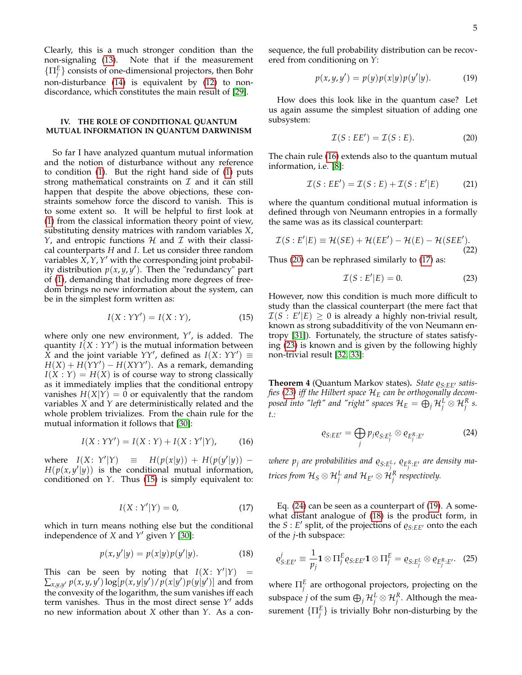Clearly, this is a much stronger condition than the non-signaling [\(13\)](#page-3-1). Note that if the measurement  $\{\Pi_j^E\}$  consists of one-dimensional projectors, then Bohr non-disturbance [\(14\)](#page-3-2) is equivalent by [\(12\)](#page-3-3) to nondiscordance, which constitutes the main result of [\[29\]](#page-15-19).

# <span id="page-4-0"></span>**IV. THE ROLE OF CONDITIONAL QUANTUM MUTUAL INFORMATION IN QUANTUM DARWINISM**

So far I have analyzed quantum mutual information and the notion of disturbance without any reference to condition [\(1\)](#page-1-1). But the right hand side of [\(1\)](#page-1-1) puts strong mathematical constraints on  $\mathcal I$  and it can still happen that despite the above objections, these constraints somehow force the discord to vanish. This is to some extent so. It will be helpful to first look at [\(1\)](#page-1-1) from the classical information theory point of view, substituting density matrices with random variables *X*, *Y*, and entropic functions  $H$  and  $I$  with their classical counterparts *H* and *I*. Let us consider three random variables *X*, *Y*, *Y'* with the corresponding joint probability distribution *p*(*x*, *y*, *y* 0 ). Then the "redundancy" part of [\(1\)](#page-1-1), demanding that including more degrees of freedom brings no new information about the system, can be in the simplest form written as:

<span id="page-4-1"></span>
$$
I(X:YY') = I(X:Y), \tag{15}
$$

where only one new environment,  $Y'$ , is added. The quantity  $I(X:YY')$  is the mutual information between  $\overline{X}$  and the joint variable *YY'*, defined as *I*(*X*: *YY'*)  $\equiv$  $H(X) + H(YY') - H(XYY')$ . As a remark, demanding  $I(X:Y) = H(X)$  is of course way to strong classically as it immediately implies that the conditional entropy vanishes  $H(X|Y) = 0$  or equivalently that the random variables *X* and *Y* are deterministically related and the whole problem trivializes. From the chain rule for the mutual information it follows that [\[30\]](#page-15-20):

$$
I(X:YY') = I(X:Y) + I(X:Y'|Y),
$$
 (16)

<span id="page-4-4"></span>where  $I(X: Y)$  $|Y| = H(p(x|y)) + H(p(y'|y)) H(p(x, y'|y))$  is the conditional mutual information, conditioned on *Y*. Thus [\(15\)](#page-4-1) is simply equivalent to:

$$
I(X:Y'|Y) = 0,\t(17)
$$

which in turn means nothing else but the conditional independence of *X* and *Y*' given *Y* [\[30\]](#page-15-20):

$$
p(x, y'|y) = p(x|y)p(y'|y).
$$
 (18)

This can be seen by noting that  $I(X: Y'|Y) =$  $\sum_{x,y,y'} p(x,y,y') \log[p(x,y|y') / p(x|y') p(y|y')]$  and from the convexity of the logarithm, the sum vanishes iff each term vanishes. Thus in the most direct sense Y' adds no new information about *X* other than *Y*. As a consequence, the full probability distribution can be recovered from conditioning on *Y*:

<span id="page-4-7"></span>
$$
p(x, y, y') = p(y)p(x|y)p(y'|y).
$$
 (19)

How does this look like in the quantum case? Let us again assume the simplest situation of adding one subsystem:

<span id="page-4-3"></span>
$$
\mathcal{I}(S:EE') = \mathcal{I}(S:E). \tag{20}
$$

The chain rule [\(16\)](#page-4-2) extends also to the quantum mutual information, i.e. [\[8\]](#page-15-0):

$$
\mathcal{I}(S:EE') = \mathcal{I}(S:E) + \mathcal{I}(S:E'|E)
$$
 (21)

where the quantum conditional mutual information is defined through von Neumann entropies in a formally the same was as its classical counterpart:

$$
\mathcal{I}(S: E'|E) \equiv \mathcal{H}(SE) + \mathcal{H}(EE') - \mathcal{H}(E) - \mathcal{H}(SEE').
$$
\n(22)

Thus [\(20\)](#page-4-3) can be rephrased similarly to [\(17\)](#page-4-4) as:

<span id="page-4-5"></span>
$$
\mathcal{I}(S: E'|E) = 0. \tag{23}
$$

However, now this condition is much more difficult to study than the classical counterpart (the mere fact that  $\mathcal{I}(S : E'|E) \geq 0$  is already a highly non-trivial result, known as strong subadditivity of the von Neumann entropy [\[31\]](#page-15-21)). Fortunately, the structure of states satisfying [\(23\)](#page-4-5) is known and is given by the following highly non-trivial result [\[32,](#page-15-22) [33\]](#page-15-23):

<span id="page-4-6"></span><span id="page-4-2"></span>Theorem 4 (Quantum Markov states). State  $\varrho_{S:EE'}$  satis*fies [\(23\)](#page-4-5) iff the Hilbert space* H*<sup>E</sup> can be orthogonally decom*posed into "left" and "right" spaces  $\mathcal{H}_E = \bigoplus_j \mathcal{H}^L_j \otimes \mathcal{H}^R_j$  s. *t.:*

$$
\varrho_{S:EE'} = \bigoplus_{j} p_j \varrho_{S:E_j^L} \otimes \varrho_{E_j^R:E'}
$$
 (24)

where  $p_j$  are probabilities and  $\varrho_{S:E_j^L}$ ,  $\varrho_{E_j^R:E^{\prime}}$  are density matrices from  $\mathcal{H}_S \otimes \mathcal{H}_j^L$  and  $\mathcal{H}_{E'} \otimes \mathcal{H}_j^R$  respectively.

<span id="page-4-8"></span>Eq. [\(24\)](#page-4-6) can be seen as a counterpart of [\(19\)](#page-4-7). A somewhat distant analogue of [\(18\)](#page-4-8) is the product form, in the *S* : *E'* split, of the projections of  $\varrho_{S:EE'}$  onto the each of the *j*-th subspace:

<span id="page-4-9"></span>
$$
\varrho_{S:EE'}^j \equiv \frac{1}{p_j} \mathbf{1} \otimes \Pi_j^E \varrho_{S:EE'} \mathbf{1} \otimes \Pi_j^E = \varrho_{S:E_j^L} \otimes \varrho_{E_j^R:E'}.
$$
 (25)

where  $\Pi_j^E$  are orthogonal projectors, projecting on the subspace *j* of the sum  $\bigoplus_j \mathcal{H}^L_j \otimes \mathcal{H}^R_j$ . Although the measurement  $\{\Pi_j^E\}$  is trivially Bohr non-disturbing by the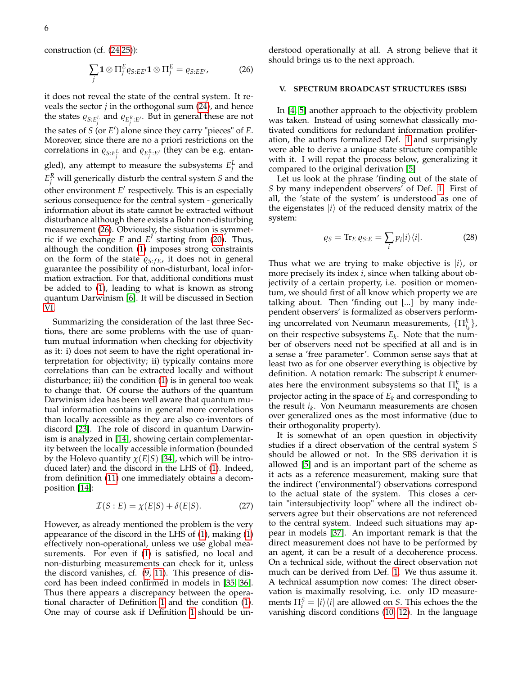construction (cf. [\(24](#page-4-6)[,25\)](#page-4-9)):

<span id="page-5-1"></span>
$$
\sum_{j} \mathbf{1} \otimes \Pi_{j}^{E} \varrho_{S:EE'} \mathbf{1} \otimes \Pi_{j}^{E} = \varrho_{S:EE'}, \tag{26}
$$

it does not reveal the state of the central system. It reveals the sector *j* in the orthogonal sum [\(24\)](#page-4-6), and hence the states  $\varrho_{S:E_j^L}$  and  $\varrho_{E_j^R:E'}$ . But in general these are not the sates of *S* (or *E* 0 ) alone since they carry "pieces" of *E*. Moreover, since there are no a priori restrictions on the correlations in  $\varrho_{S:E_{\tilde{I}}^L}$  and  $\varrho_{E_{\tilde{I}}^R:E'}$  (they can be e.g. entangled), any attempt to measure the subsystems  $E_j^L$  and  $E_j^R$  will generically disturb the central system *S* and the other environment  $E'$  respectively. This is an especially serious consequence for the central system - generically information about its state cannot be extracted without disturbance although there exists a Bohr non-disturbing measurement [\(26\)](#page-5-1). Obviously, the sistuation is symmetric if we exchange  $E$  and  $E^{\prime}$  starting from [\(20\)](#page-4-3). Thus, although the condition [\(1\)](#page-1-1) imposes strong constraints on the form of the state  $\varrho_{S:FE}$ , it does not in general guarantee the possibility of non-disturbant, local information extraction. For that, additional conditions must be added to [\(1\)](#page-1-1), leading to what is known as strong quantum Darwinism [\[6\]](#page-14-4). It will be discussed in Section [VI.](#page-9-0)

Summarizing the consideration of the last three Sections, there are some problems with the use of quantum mutual information when checking for objectivity as it: i) does not seem to have the right operational interpretation for objectivity; ii) typically contains more correlations than can be extracted locally and without disturbance; iii) the condition [\(1\)](#page-1-1) is in general too weak to change that. Of course the authors of the quantum Darwinism idea has been well aware that quantum mutual information contains in general more correlations than locally accessible as they are also co-inventors of discord [\[23\]](#page-15-13). The role of discord in quantum Darwinism is analyzed in [\[14\]](#page-15-6), showing certain complementarity between the locally accessible information (bounded by the Holevo quantity  $\chi(E|S)$  [\[34\]](#page-15-24), which will be introduced later) and the discord in the LHS of [\(1\)](#page-1-1). Indeed, from definition [\(11\)](#page-3-4) one immediately obtains a decomposition [\[14\]](#page-15-6):

<span id="page-5-3"></span>
$$
\mathcal{I}(S:E) = \chi(E|S) + \delta(E|S). \tag{27}
$$

However, as already mentioned the problem is the very appearance of the discord in the LHS of [\(1\)](#page-1-1), making [\(1\)](#page-1-1) effectively non-operational, unless we use global measurements. For even if [\(1\)](#page-1-1) is satisfied, no local and non-disturbing measurements can check for it, unless the discord vanishes, cf. [\(9,](#page-2-2) [11\)](#page-3-4). This presence of discord has been indeed confirmed in models in [\[35,](#page-15-25) [36\]](#page-15-26). Thus there appears a discrepancy between the operational character of Definition [1](#page-0-1) and the condition [\(1\)](#page-1-1). One may of course ask if Definition [1](#page-0-1) should be understood operationally at all. A strong believe that it should brings us to the next approach.

# <span id="page-5-0"></span>**V. SPECTRUM BROADCAST STRUCTURES (SBS)**

In [\[4,](#page-14-2) [5\]](#page-14-3) another approach to the objectivity problem was taken. Instead of using somewhat classically motivated conditions for redundant information proliferation, the authors formalized Def. [1](#page-0-1) and surprisingly were able to derive a unique state structure compatible with it. I will repat the process below, generalizing it compared to the original derivation [\[5\]](#page-14-3)

Let us look at the phrase 'finding out of the state of *S* by many independent observers' of Def. [1.](#page-0-1) First of all, the 'state of the system' is understood as one of the eigenstates  $|i\rangle$  of the reduced density matrix of the system:

<span id="page-5-2"></span>
$$
\varrho_S = \text{Tr}_E \,\varrho_{S:E} = \sum_i p_i |i\rangle\langle i|.\tag{28}
$$

Thus what we are trying to make objective is  $|i\rangle$ , or more precisely its index *i*, since when talking about objectivity of a certain property, i.e. position or momentum, we should first of all know which property we are talking about. Then 'finding out [...] by many independent observers' is formalized as observers performing uncorrelated von Neumann measurements, {Π*<sup>k</sup> ik* }, on their respective subsystems *E<sup>k</sup>* . Note that the number of observers need not be specified at all and is in a sense a 'free parameter'. Common sense says that at least two as for one observer everything is objective by definition. A notation remark: The subscript *k* enumerates here the environment subsystems so that  $\Pi_{i_k}^k$  is a projector acting in the space of *E<sup>k</sup>* and corresponding to the result *i<sup>k</sup>* . Von Neumann measurements are chosen over generalized ones as the most informative (due to their orthogonality property).

It is somewhat of an open question in objectivity studies if a direct observation of the central system *S* should be allowed or not. In the SBS derivation it is allowed [\[5\]](#page-14-3) and is an important part of the scheme as it acts as a reference measurement, making sure that the indirect ('environmental') observations correspond to the actual state of the system. This closes a certain "intersubjectivity loop" where all the indirect observers agree but their observations are not referenced to the central system. Indeed such situations may appear in models [\[37\]](#page-16-0). An important remark is that the direct measurement does not have to be performed by an agent, it can be a result of a decoherence process. On a technical side, without the direct observation not much can be derived from Def. [1.](#page-0-1) We thus assume it. A technical assumption now comes: The direct observation is maximally resolving, i.e. only 1D measurements  $\Pi_i^S = |i\rangle\langle i|$  are allowed on *S*. This echoes the the vanishing discord conditions [\(10,](#page-3-0) [12\)](#page-3-3). In the language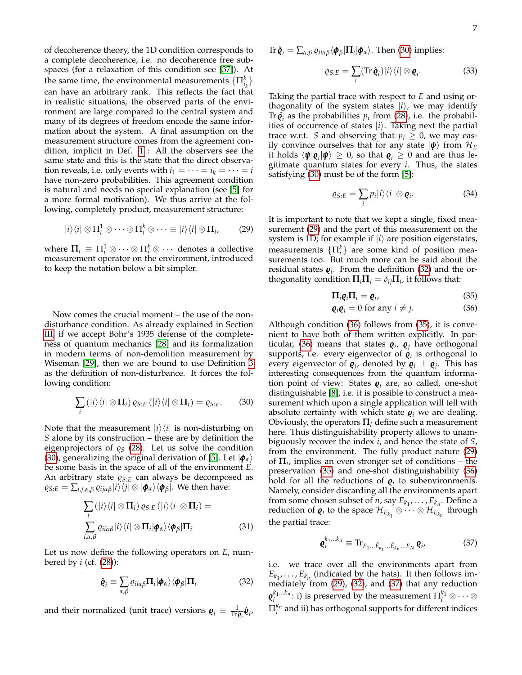of decoherence theory, the 1D condition corresponds to a complete decoherence, i.e. no decoherence free subspaces (for a relaxation of this condition see [\[37\]](#page-16-0)). At the same time, the environmental measurements  $\{\Pi_{i_k}^k\}$ can have an arbitrary rank. This reflects the fact that in realistic situations, the observed parts of the environment are large compared to the central system and many of its degrees of freedom encode the same information about the system. A final assumption on the measurement structure comes from the agreement condition, implicit in Def. [1](#page-0-1) : All the observers see the same state and this is the state that the direct observation reveals, i.e. only events with  $i_1 = \cdots = i_k = \cdots = i$ have non-zero probabilities. This agreement condition is natural and needs no special explanation (see [\[5\]](#page-14-3) for a more formal motivation). We thus arrive at the following, completely product, measurement structure:

$$
|i\rangle\langle i| \otimes \Pi_i^1 \otimes \cdots \otimes \Pi_i^k \otimes \cdots \equiv |i\rangle\langle i| \otimes \Pi_i, \qquad (29)
$$

where  $\Pi_i \equiv \Pi_i^1 \otimes \cdots \otimes \Pi_i^k \otimes \cdots$  denotes a collective measurement operator on the environment, introduced to keep the notation below a bit simpler.

Now comes the crucial moment – the use of the nondisturbance condition. As already explained in Section [III,](#page-2-0) if we accept Bohr's 1935 defense of the completeness of quantum mechanics [\[28\]](#page-15-18) and its formalization in modern terms of non-demolition measurement by Wiseman [\[29\]](#page-15-19), then we are bound to use Definition [3](#page-3-5) as the definition of non-disturbance. It forces the following condition:

<span id="page-6-0"></span>
$$
\sum_{i} (|i\rangle\langle i| \otimes \Pi_{i}) \varrho_{S:E} (|i\rangle\langle i| \otimes \Pi_{i}) = \varrho_{S:E}. \tag{30}
$$

Note that the measurement  $|i\rangle\langle i|$  is non-disturbing on *S* alone by its construction – these are by definition the eigenprojectors of  $\varrho_S$  [\(28\)](#page-5-2). Let us solve the condition [\(30\)](#page-6-0), generalizing the original derivation of [\[5\]](#page-14-3). Let  $|\phi_\alpha\rangle$ be some basis in the space of all of the environment *E*. An arbitrary state  $\varrho_{S:E}$  can always be decomposed as  $\varrho_{S:E} = \sum_{i,j,\alpha,\beta} \varrho_{ij\alpha\beta}|i\rangle \langle j| \otimes |\phi_{\alpha}\rangle \langle \phi_{\beta}|.$  We then have:

$$
\sum_{i} (|i\rangle\langle i| \otimes \Pi_{i}) \varrho_{S:E} (|i\rangle\langle i| \otimes \Pi_{i}) =
$$
\n
$$
\sum_{i,\alpha,\beta} \varrho_{ii\alpha\beta} |i\rangle\langle i| \otimes \Pi_{i} |\phi_{\alpha}\rangle\langle\phi_{\beta}|\Pi_{i}
$$
\n(31)

Let us now define the following operators on *E*, numbered by *i* (cf. [\(28\)](#page-5-2)):

<span id="page-6-2"></span>
$$
\hat{\mathbf{Q}}_i \equiv \sum_{\alpha,\beta} \varrho_{ii\alpha\beta} \mathbf{\Pi}_i |\mathbf{\phi}_\alpha\rangle \langle \mathbf{\phi}_\beta | \mathbf{\Pi}_i \tag{32}
$$

and their normalized (unit trace) versions  $\mathbf{\varrho}_i \equiv \frac{1}{\text{Tr} \tilde{\mathbf{\varrho}}_i} \hat{\mathbf{\varrho}}_i$ 

Tr  $\hat{\bm{\varrho}}_i = \sum_{\alpha,\beta} \varrho_{ii\alpha\beta} \langle \bm{\phi}_\beta | \bm{\Pi}_i | \bm{\phi}_\alpha \rangle$ . Then [\(30\)](#page-6-0) implies:

$$
\varrho_{S:E} = \sum_{i} (\text{Tr}\,\hat{\boldsymbol{\varrho}}_{i}) |i\rangle\langle i| \otimes \boldsymbol{\varrho}_{i}.
$$
 (33)

Taking the partial trace with respect to *E* and using orthogonality of the system states  $|i\rangle$ , we may identify Tr $\hat{\mathbf{\varrho}}_i$  as the probabilities  $p_i$  from [\(28\)](#page-5-2), i.e. the probabilities of occurrence of states  $|i\rangle$ . Taking next the partial trace w.r.t. *S* and observing that  $p_i \geq 0$ , we may easily convince ourselves that for any state  $|\psi\rangle$  from  $\mathcal{H}_E$ it holds  $\langle \psi | \varrho_i | \psi \rangle \ge 0$ , so that  $\varrho_i \ge 0$  and are thus legitimate quantum states for every *i*. Thus, the states satisfying [\(30\)](#page-6-0) must be of the form [\[5\]](#page-14-3):

<span id="page-6-5"></span>
$$
\varrho_{S:E}=\sum_{i}p_{i}|i\rangle\langle i|\otimes\mathbf{Q}_{i}.
$$
 (34)

<span id="page-6-1"></span>It is important to note that we kept a single, fixed measurement [\(29\)](#page-6-1) and the part of this measurement on the system is 1D; for example if  $|i\rangle$  are position eigenstates, measurements  $\{\Pi_i^k\}$  are some kind of position measurements too. But much more can be said about the residual states  $\boldsymbol{\varrho}_i$ . From the definition [\(32\)](#page-6-2) and the orthogonality condition  $\Pi_i \Pi_j = \delta_{ij} \Pi_i$ , it follows that:

<span id="page-6-3"></span>
$$
\Pi_i \varrho_i \Pi_i = \varrho_i, \tag{35}
$$

$$
\mathbf{\varrho}_i \mathbf{\varrho}_j = 0 \text{ for any } i \neq j. \tag{36}
$$

Although condition [\(36\)](#page-6-3) follows from [\(35\)](#page-6-3), it is convenient to have both of them written explicitly. In par-ticular, [\(36\)](#page-6-3) means that states  $\pmb{\varrho}_i$ ,  $\pmb{\varrho}_j$  have orthogonal supports, i.e. every eigenvector of  $\pmb{\varrho}_i$  is orthogonal to every eigenvector of  $\boldsymbol{\varrho}_j$ , denoted by  $\boldsymbol{\varrho}_i \perp \boldsymbol{\varrho}_j$ . This has interesting consequences from the quantum information point of view: States  $\boldsymbol{\varrho}_i$  are, so called, one-shot distinguishable [\[8\]](#page-15-0), i.e. it is possible to construct a measurement which upon a single application will tell with absolute certainty with which state  $\mathbf{e}_i$  we are dealing. Obviously, the operators  $\Pi_i$  define such a measurement here. Thus distinguishability property allows to unambiguously recover the index *i*, and hence the state of *S*, from the environment. The fully product nature [\(29\)](#page-6-1) of  $\Pi_i$ , implies an even stronger set of conditions – the preservation [\(35\)](#page-6-3) and one-shot distinguishability [\(36\)](#page-6-3) hold for all the reductions of  $\mathbf{\varrho}_i$  to subenvironments. Namely, consider discarding all the environments apart from some chosen subset of *n*, say  $E_{k_1}, \ldots, E_{k_n}$ . Define a reduction of  $\varrho_i$  to the space  $\mathcal{H}_{E_{k_1}} \otimes \cdots \otimes \mathcal{H}_{E_{k_n}}$  through the partial trace:

<span id="page-6-4"></span>
$$
\mathbf{e}_{i}^{k_{1}\ldots k_{n}} \equiv \text{Tr}_{E_{1}\ldots\hat{E}_{k_{1}}\ldots\hat{E}_{k_{n}}\ldots E_{N}} \mathbf{e}_{i'} \tag{37}
$$

i.e. we trace over all the environments apart from  $E_{k_1}, \ldots, E_{k_n}$  (indicated by the hats). It then follows immediately from [\(29\)](#page-6-1), [\(32\)](#page-6-2), and [\(37\)](#page-6-4) that any reduction  $\pmb{\varrho}_i^{k_1...k_n}$ : i) is preserved by the measurement  $\Pi_i^{k_1}\otimes\cdots\otimes$  $\Pi_i^{k_n}$  and ii) has orthogonal supports for different indices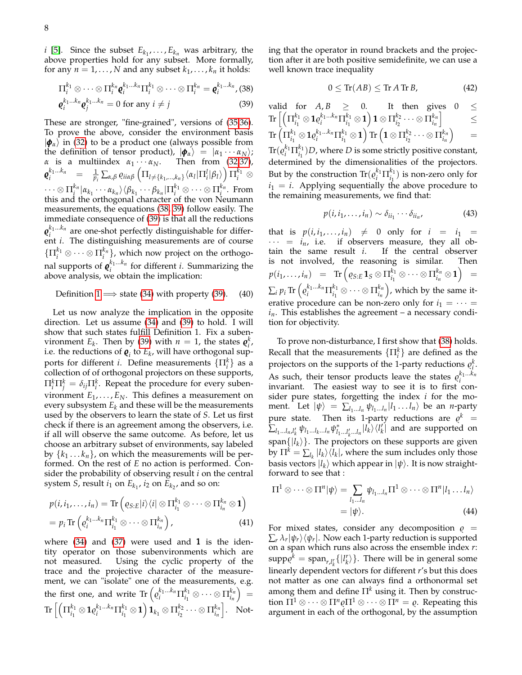*i* [\[5\]](#page-14-3). Since the subset  $E_{k_1}, \ldots, E_{k_n}$  was arbitrary, the above properties hold for any subset. More formally, for any  $n = 1, \ldots, N$  and any subset  $k_1, \ldots, k_n$  it holds:

<span id="page-7-0"></span>
$$
\Pi_i^{k_1} \otimes \cdots \otimes \Pi_i^{k_n} \mathbf{Q}_i^{k_1 \ldots k_n} \Pi_i^{k_1} \otimes \cdots \otimes \Pi_i^{k_n} = \mathbf{Q}_i^{k_1 \ldots k_n},
$$
(38)

$$
\boldsymbol{\varrho}_i^{k_1...k_n}\boldsymbol{\varrho}_j^{k_1...k_n} = 0 \text{ for any } i \neq j \tag{39}
$$

These are stronger, "fine-grained", versions of [\(35,36\)](#page-6-3). To prove the above, consider the environment basis  $|\phi_{\alpha}\rangle$  in [\(32\)](#page-6-2) to be a product one (always possible from the definition of tensor product),  $|\phi_{\alpha}\rangle = |\alpha_1 \cdots \alpha_N\rangle;$ *α* is a multiindex  $\alpha_1 \cdots \alpha_N$ . Then from [\(32](#page-6-2)[,37\)](#page-6-4),  $\pmb{\varrho}_i^{k_1...k_n} \;\;\; = \;\;\; \frac{1}{p_i} \sum_{\alpha,\beta} \varrho_{i i \alpha \beta} \left( \Pi_{l \neq \{k_1,...,k_n\}} \langle \alpha_l | \Pi_i^l | \beta_l \rangle \right) \Pi_i^{k_1} \, \otimes$  $\cdots\otimes \Pi_{i}^{k_{n}}|\alpha_{k_{1}}\cdots\alpha_{k_{n}}\rangle\langle\beta_{k_{1}}\cdots\beta_{k_{n}}|\Pi_{i}^{k_{1}}\otimes\cdots\otimes\Pi_{i}^{k_{n}}. \,\,\mathrm{From}$ this and the orthogonal character of the von Neumann measurements, the equations [\(38, 39\)](#page-7-0) follow easily. The immediate consequence of [\(39\)](#page-7-0) is that all the reductions  $\varrho_i^{k_1...k_n}$  are one-shot perfectly distinguishable for different *i*. The distinguishing measurements are of course  $\{\Pi_i^{k_1}\otimes\cdots\otimes\Pi_i^{k_n}\}$ , which now project on the orthogonal supports of  $\varrho_i^{k_1...k_n}$  for different *i*. Summarizing the above analysis, we obtain the implication:

Definition 1 
$$
\Longrightarrow
$$
 state (34) with property (39). (40)

Let us now analyze the implication in the opposite direction. Let us assume [\(34\)](#page-6-5) and [\(39\)](#page-7-0) to hold. I will show that such states fulfill Definition 1. Fix a subenvironment  $E_k$ . Then by [\(39\)](#page-7-0) with  $n = 1$ , the states  $\boldsymbol{\varrho}_i^k$ , i.e. the reductions of  $\boldsymbol{\varrho}_i$  to  $E_k$ , will have orthogonal supports for different *i*. Define measurements  $\{\Pi_i^k\}$  as a collection of of orthogonal projectors on these supports,  $\Pi_i^k \Pi_j^k = \delta_{ij} \Pi_i^k$ . Repeat the procedure for every subenvironment  $E_1, \ldots, E_N$ . This defines a measurement on every subsystem  $E_k$  and these will be the measurements used by the observers to learn the state of *S*. Let us first check if there is an agreement among the observers, i.e. if all will observe the same outcome. As before, let us choose an arbitrary subset of environments, say labeled by  $\{k_1 \ldots k_n\}$ , on which the measurements will be performed. On the rest of *E* no action is performed. Consider the probability of observing result *i* on the central system *S*, result  $i_1$  on  $E_{k_1}$ ,  $i_2$  on  $E_{k_2}$ , and so on:

$$
p(i, i_1, \ldots, i_n) = \text{Tr}\left(\varrho_{S:E} |i\rangle\langle i| \otimes \Pi_{i_1}^{k_1} \otimes \cdots \otimes \Pi_{i_n}^{k_n} \otimes \mathbf{1}\right)
$$
  
=  $p_i \text{Tr}\left(\varrho_i^{k_1 \ldots k_n} \Pi_{i_1}^{k_1} \otimes \cdots \otimes \Pi_{i_n}^{k_n}\right),$  (41)

where  $(34)$  and  $(37)$  were used and 1 is the identity operator on those subenvironments which are not measured. Using the cyclic property of the trace and the projective character of the measurement, we can "isolate" one of the measurements, e.g. the first one, and write  $\text{Tr} \left( \varrho_i^{k_1...k_n} \Pi_{i_1}^{k_1} \right)$  $a_{i_1}^{k_1} \otimes \cdots \otimes \prod_{i_n}^{k_n}$ *in*  $=$  $\text{Tr\,}\big\lceil\big( \Pi_{i_1}^{k_1}$  $a_{i_1}^{k_1} \otimes \mathbf{1} \varrho_i^{k_1...k_n} \Pi_{i_1}^{k_1}$  $\mathbf{1}_{i_1}\otimes\mathbf{1}\Big)\mathbf{1}_{k_1}\otimes \Pi_{i_2}^{k_2}$  $\frac{k_2}{i_2} \cdots \otimes \Pi_{i_n}^{k_n}$ *in*  $\vert$ . Noting that the operator in round brackets and the projection after it are both positive semidefinite, we can use a well known trace inequality

$$
0 \le \text{Tr}(AB) \le \text{Tr}\,A\,\text{Tr}\,B,\tag{42}
$$

valid for  $A, B \geq 0$ . It then gives  $0 \leq$  $\text{Tr\,}\big\lceil\big( \Pi_{j_1}^{k_1}$  $a_{i_1}^{k_1} \otimes 1$   $\varrho_i^{k_1...k_n}$   $\Pi_{i_1}^{k_1}$  $\binom{k_1}{i_1}\otimes \mathbf{1}$   $\Big)$   $\mathbf{1}\otimes \Pi_{i_2}^{k_2}$  $a_{i_2}^{k_2} \cdots \otimes \Pi_{i_n}^{k_n}$ *in* i ≤  $\text{Tr\,}\big(\Pi_{i_1}^{k_1}$  $a_{i_1}^{k_1} \otimes \mathbf{1} \varrho_i^{k_1...k_n} \Pi_{i_1}^{k_1}$  $\mathbf{f}_{i_1}^{k_1}\otimes\mathbf{1}\Bigl)$  Tr  $\left(\mathbf{1}\otimes \Pi_{i_2}^{k_2}\right)$  $a_{i_2}^{k_2} \cdots \otimes \Pi_{i_n}^{k_n}$ *in*  $\setminus$ =  $\text{Tr}(\varrho_i^{k_1} \Pi_{i_1}^{k_1}$  $\binom{k_1}{i_1}$  *D*, where *D* is some strictly positive constant, determined by the dimensionalities of the projectors. But by the construction  $\text{Tr}(\varrho_i^{k_1} \Pi_{i_1}^{k_1})$  $\binom{k_1}{i_1}$  is non-zero only for  $i_1 = i$ . Applying sequentially the above procedure to the remaining measurements, we find that:

$$
p(i, i_1, \dots, i_n) \sim \delta_{ii_1} \cdots \delta_{ii_n}, \tag{43}
$$

<span id="page-7-1"></span>that is  $p(i, i_1, \ldots, i_n) \neq 0$  only for  $i = i_1$  $\cdots$  =  $i_n$ , i.e. if observers measure, they all obtain the same result *i*. If the central observer is not involved, the reasoning is similar. Then  $p(i_1,\ldots,i_n)$  = Tr  $\Big( \varrho_{S:E} \mathbf{1}_{S} \otimes \Pi_{i_1}^{k_1} \Big)$  $a_{i_1}^{k_1} \otimes \cdots \otimes \Pi_{i_n}^{k_n}$  $\binom{k_n}{i_n}\otimes \mathbf{1}$ =  $\sum_i p_i \operatorname{Tr}\left(\varrho_i^{k_1...k_n}\Pi_{i_1}^{k_1}\right)$  $a_{i_1}^{k_1} \otimes \cdots \otimes \prod_{i_n}^{k_n}$ *in* , which by the same iterative procedure can be non-zero only for  $i_1 = \cdots =$  $i_n$ . This establishes the agreement – a necessary condition for objectivity.

To prove non-disturbance, I first show that [\(38\)](#page-7-0) holds. Recall that the measurements  $\{\Pi_i^k\}$  are defined as the projectors on the supports of the 1-party reductions  $\rho_i^k$ . As such, their tensor products leave the states  $\rho_i^{k_1...k_n}$ invariant. The easiest way to see it is to first consider pure states, forgetting the index *i* for the moment. Let  $|\psi\rangle = \sum_{l_1...l_n} \psi_{l_1...l_n} |l_1...l_n\rangle$  be an *n*-party pure state. Then its 1-party reductions are  $\varrho^k$  =  $\sum_{l_1...l_n,l'_k} \psi_{l_1...l_k...l_n} \psi_{l'_1}^*$  $\int_{l_1...l_k'\dots l_n}^{l_i} |l_k\rangle\langle l_k'|$  and are supported on  $\text{span}\{|l_k\rangle\}$ . The projectors on these supports are given by  $\Pi^k = \sum_{l_k} |l_k\rangle\langle l_k|$ , where the sum includes only those basis vectors  $\ket{l_k}$  which appear in  $\ket{\psi}$ . It is now straightforward to see that :

$$
\Pi^{1} \otimes \cdots \otimes \Pi^{n} |\psi\rangle = \sum_{l_{1}...l_{n}} \psi_{l_{1}...l_{n}} \Pi^{1} \otimes \cdots \otimes \Pi^{n} |l_{1}...l_{n}\rangle
$$

$$
= |\psi\rangle.
$$
 (44)

For mixed states, consider any decomposition  $\rho =$  $\sum_{r} \lambda_{r} |\psi_{r}\rangle\langle\psi_{r}|.$  Now each 1-party reduction is supported on a span which runs also across the ensemble index *r*:  $\text{supp}\varrho^{k} = \text{span}_{r,l_{k}^{r}}\{|l_{k}^{r}\rangle\}$ . There will be in general some linearly dependent vectors for different *r*'s but this does not matter as one can always find a orthonormal set among them and define  $\Pi^k$  using it. Then by construction  $\Pi^1 \otimes \cdots \otimes \Pi^n \varrho \Pi^1 \otimes \cdots \otimes \Pi^n = \varrho$ . Repeating this argument in each of the orthogonal, by the assumption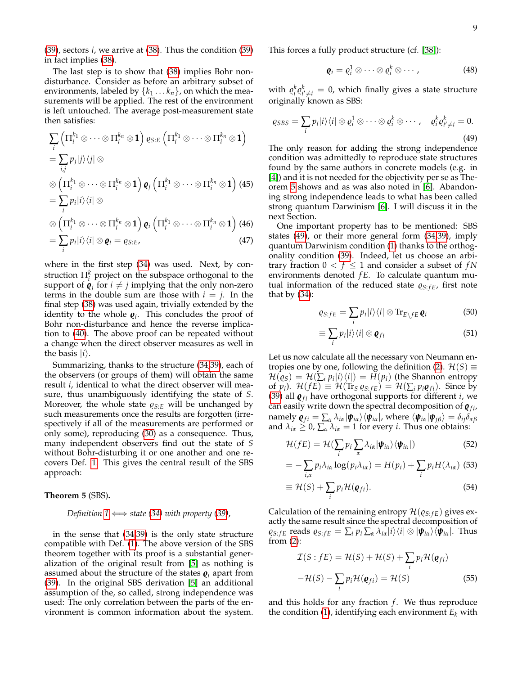[\(39\)](#page-7-0), sectors *i*, we arrive at [\(38\)](#page-7-0). Thus the condition [\(39\)](#page-7-0) in fact implies [\(38\)](#page-7-0).

The last step is to show that [\(38\)](#page-7-0) implies Bohr nondisturbance. Consider as before an arbitrary subset of environments, labeled by  $\{k_1 \ldots k_n\}$ , on which the measurements will be applied. The rest of the environment is left untouched. The average post-measurement state then satisfies:

$$
\sum_{i} \left( \prod_{i}^{k_{1}} \otimes \cdots \otimes \prod_{i}^{k_{n}} \otimes \mathbf{1} \right) \varrho_{S:E} \left( \prod_{i}^{k_{1}} \otimes \cdots \otimes \prod_{i}^{k_{n}} \otimes \mathbf{1} \right)
$$
\n
$$
= \sum_{i,j} p_{j} |j\rangle \langle j| \otimes
$$
\n
$$
\otimes \left( \prod_{i}^{k_{1}} \otimes \cdots \otimes \prod_{i}^{k_{n}} \otimes \mathbf{1} \right) \varrho_{j} \left( \prod_{i}^{k_{1}} \otimes \cdots \otimes \prod_{i}^{k_{n}} \otimes \mathbf{1} \right) (45)
$$
\n
$$
= \sum_{i} p_{i} |i\rangle \langle i| \otimes
$$
\n
$$
\otimes \left( \prod_{i}^{k_{1}} \otimes \cdots \otimes \prod_{i}^{k_{n}} \otimes \mathbf{1} \right) \varrho_{i} \left( \prod_{i}^{k_{1}} \otimes \cdots \otimes \prod_{i}^{k_{n}} \otimes \mathbf{1} \right) (46)
$$

$$
= \sum_{i} p_{i} |i\rangle\langle i| \otimes \mathbf{Q}_{i} = \varrho_{S:E}, \qquad (47)
$$

where in the first step [\(34\)](#page-6-5) was used. Next, by construction  $\Pi_i^k$  project on the subspace orthogonal to the support of  $\boldsymbol{\varrho}_j$  for  $i \neq j$  implying that the only non-zero terms in the double sum are those with  $i = j$ . In the final step [\(38\)](#page-7-0) was used again, trivially extended by the identity to the whole  $\boldsymbol{\varrho}_i$ . This concludes the proof of Bohr non-disturbance and hence the reverse implication to [\(40\)](#page-7-1). The above proof can be repeated without a change when the direct observer measures as well in the basis  $|i\rangle$ .

Summarizing, thanks to the structure [\(34](#page-6-5)[,39\)](#page-7-0), each of the observers (or groups of them) will obtain the same result *i*, identical to what the direct observer will measure, thus unambiguously identifying the state of *S*. Moreover, the whole state  $\varrho_{S:E}$  will be unchanged by such measurements once the results are forgotten (irrespectively if all of the measurements are performed or only some), reproducing [\(30\)](#page-6-0) as a consequence. Thus, many independent observers find out the state of *S* without Bohr-disturbing it or one another and one recovers Def. [1.](#page-0-1) This gives the central result of the SBS approach:

#### <span id="page-8-0"></span>**Theorem 5** (SBS)**.**

#### *Definition*  $1 \Longleftrightarrow$  *state* [\(34\)](#page-6-5) *with property* [\(39\)](#page-7-0),

in the sense that [\(34](#page-6-5)[,39\)](#page-7-0) is the only state structure compatible with Def. [\(1\)](#page-0-1). The above version of the SBS theorem together with its proof is a substantial generalization of the original result from [\[5\]](#page-14-3) as nothing is assumed about the structure of the states  $\boldsymbol{\varrho}_i$  apart from [\(39\)](#page-7-0). In the original SBS derivation [\[5\]](#page-14-3) an additional assumption of the, so called, strong independence was used: The only correlation between the parts of the environment is common information about the system. This forces a fully product structure (cf. [\[38\]](#page-16-1)):

<span id="page-8-1"></span>
$$
\mathbf{q}_i = \varrho_i^1 \otimes \cdots \otimes \varrho_i^k \otimes \cdots, \qquad (48)
$$

with  $\varrho_i^k \varrho_{i' \neq i}^k = 0$ , which finally gives a state structure originally known as SBS:

$$
\varrho_{SBS} = \sum_{i} p_i |i\rangle\langle i| \otimes \varrho_i^1 \otimes \cdots \otimes \varrho_i^k \otimes \cdots, \quad \varrho_i^k \varrho_{i' \neq i}^k = 0.
$$
\n(49)

The only reason for adding the strong independence condition was admittedly to reproduce state structures found by the same authors in concrete models (e.g. in [\[4\]](#page-14-2)) and it is not needed for the objectivity per se as Theorem [5](#page-8-0) shows and as was also noted in [\[6\]](#page-14-4). Abandoning strong independence leads to what has been called strong quantum Darwinism [\[6\]](#page-14-4). I will discuss it in the next Section.

One important property has to be mentioned: SBS states [\(49\)](#page-8-1), or their more general form [\(34](#page-6-5)[,39\)](#page-7-0), imply quantum Darwinism condition [\(1\)](#page-1-1) thanks to the orthogonality condition [\(39\)](#page-7-0). Indeed, let us choose an arbitrary fraction  $0 < f \leq 1$  and consider a subset of  $fN$ environments denoted *f E*. To calculate quantum mutual information of the reduced state  $\varrho_{S:FE}$ , first note that by  $(34)$ :

$$
\varrho_{S:FE} = \sum_{i} p_i |i\rangle\langle i| \otimes \text{Tr}_{E\setminus fE} \mathbf{Q}_i \tag{50}
$$

$$
\equiv \sum_{i} p_{i} |i\rangle\langle i| \otimes \mathbf{e}_{fi}
$$
 (51)

Let us now calculate all the necessary von Neumann en-tropies one by one, following the definition [\(2\)](#page-1-3).  $\mathcal{H}(S) \equiv$  $\mathcal{H}(\varrho_S) = \mathcal{H}(\sum_i p_i|i\rangle\langle i|) = H(p_i)$  (the Shannon entropy of  $p_i$ ).  $\mathcal{H}(fE) \equiv \mathcal{H}(\text{Tr}_S \varrho_{S \cdot fE}) = \mathcal{H}(\sum_i p_i \varrho_{fi})$ . Since by [\(39\)](#page-7-0) all  $\boldsymbol{\varrho}_{fi}$  have orthogonal supports for different *i*, we can easily write down the spectral decomposition of  $\mathbf{g}_{fi}$ ,  ${\bf n}$ amely  ${\bm \varrho}_{fi} = \sum_{\alpha} \lambda_{i\alpha} |{\bm \psi}_{i\alpha}\rangle \langle{\bm \psi}_{i\alpha}|$ , where  $\langle{\bm \psi}_{i\alpha}|{\bm \psi}_{j\beta}\rangle = \delta_{ij}\delta_{\alpha\beta}$ and  $\lambda_{i\alpha} \geq 0$ ,  $\sum_{\alpha} \lambda_{i\alpha} = 1$  for every *i*. Thus one obtains:

$$
\mathcal{H}(fE) = \mathcal{H}(\sum_{i} p_{i} \sum_{\alpha} \lambda_{i\alpha} |\boldsymbol{\psi}_{i\alpha}\rangle \langle \boldsymbol{\psi}_{i\alpha}|)
$$
(52)

$$
= -\sum_{i,\alpha} p_i \lambda_{i\alpha} \log(p_i \lambda_{i\alpha}) = H(p_i) + \sum_i p_i H(\lambda_{i\alpha})
$$
 (53)

$$
\equiv \mathcal{H}(S) + \sum_{i} p_i \mathcal{H}(\boldsymbol{\varrho}_{fi}). \tag{54}
$$

Calculation of the remaining entropy  $\mathcal{H}(\varrho_{S: fE})$  gives exactly the same result since the spectral decomposition of  $\varrho_{S: fE}$  reads  $\varrho_{S: fE} = \sum_{i} p_i \sum_{\alpha} \lambda_{i\alpha} |i\rangle \langle i| \otimes |\psi_{i\alpha}\rangle \langle \psi_{i\alpha}|$ . Thus from  $(2)$ :

<span id="page-8-2"></span>
$$
\mathcal{I}(S: fE) = \mathcal{H}(S) + \mathcal{H}(S) + \sum_{i} p_i \mathcal{H}(\mathbf{Q}_{fi})
$$

$$
-\mathcal{H}(S) - \sum_{i} p_i \mathcal{H}(\mathbf{Q}_{fi}) = \mathcal{H}(S) \tag{55}
$$

and this holds for any fraction  $f$ . We thus reproduce the condition [\(1\)](#page-1-1), identifying each environment  $E_k$  with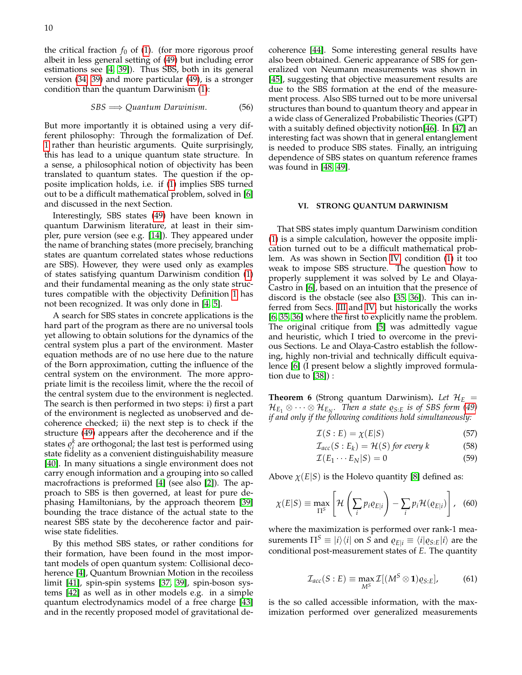the critical fraction  $f_0$  of [\(1\)](#page-1-1). (for more rigorous proof albeit in less general setting of [\(49\)](#page-8-1) but including error estimations see [\[4,](#page-14-2) [39\]](#page-16-2)). Thus SBS, both in its general version [\(34,](#page-6-5) [39\)](#page-7-0) and more particular [\(49\)](#page-8-1), is a stronger condition than the quantum Darwinism [\(1\)](#page-1-1):

$$
SBS \Longrightarrow Quantum \; Darwinism. \tag{56}
$$

But more importantly it is obtained using a very different philosophy: Through the formalization of Def. [1](#page-0-1) rather than heuristic arguments. Quite surprisingly, this has lead to a unique quantum state structure. In a sense, a philosophical notion of objectivity has been translated to quantum states. The question if the opposite implication holds, i.e. if [\(1\)](#page-1-1) implies SBS turned out to be a difficult mathematical problem, solved in [\[6\]](#page-14-4) and discussed in the next Section.

Interestingly, SBS states [\(49\)](#page-8-1) have been known in quantum Darwinism literature, at least in their simpler, pure version (see e.g. [\[14\]](#page-15-6)). They appeared under the name of branching states (more precisely, branching states are quantum correlated states whose reductions are SBS). However, they were used only as examples of states satisfying quantum Darwinism condition [\(1\)](#page-1-1) and their fundamental meaning as the only state structures compatible with the objectivity Definition [1](#page-0-1) has not been recognized. It was only done in [\[4,](#page-14-2) [5\]](#page-14-3).

A search for SBS states in concrete applications is the hard part of the program as there are no universal tools yet allowing to obtain solutions for the dynamics of the central system plus a part of the environment. Master equation methods are of no use here due to the nature of the Born approximation, cutting the influence of the central system on the environment. The more appropriate limit is the recoiless limit, where the the recoil of the central system due to the environment is neglected. The search is then performed in two steps: i) first a part of the environment is neglected as unobserved and decoherence checked; ii) the next step is to check if the structure [\(49\)](#page-8-1) appears after the decoherence and if the states  $\rho_i^k$  are orthogonal; the last test is performed using state fidelity as a convenient distinguishability measure [\[40\]](#page-16-3). In many situations a single environment does not carry enough information and a grouping into so called macrofractions is preformed [\[4\]](#page-14-2) (see also [\[2\]](#page-14-6)). The approach to SBS is then governed, at least for pure dephasing Hamiltonians, by the approach theorem [\[39\]](#page-16-2) bounding the trace distance of the actual state to the nearest SBS state by the decoherence factor and pairwise state fidelities.

By this method SBS states, or rather conditions for their formation, have been found in the most important models of open quantum system: Collisional decoherence [\[4\]](#page-14-2), Quantum Brownian Motion in the recoiless limit [\[41\]](#page-16-4), spin-spin systems [\[37,](#page-16-0) [39\]](#page-16-2), spin-boson systems [\[42\]](#page-16-5) as well as in other models e.g. in a simple quantum electrodynamics model of a free charge [\[43\]](#page-16-6) and in the recently proposed model of gravitational decoherence [\[44\]](#page-16-7). Some interesting general results have also been obtained. Generic appearance of SBS for generalized von Neumann measurements was shown in [\[45\]](#page-16-8), suggesting that objective measurement results are due to the SBS formation at the end of the measurement process. Also SBS turned out to be more universal structures than bound to quantum theory and appear in a wide class of Generalized Probabilistic Theories (GPT) with a suitably defined objectivity notion[\[46\]](#page-16-9). In [\[47\]](#page-16-10) an interesting fact was shown that in general entanglement is needed to produce SBS states. Finally, an intriguing dependence of SBS states on quantum reference frames was found in [\[48,](#page-16-11) [49\]](#page-16-12).

### <span id="page-9-0"></span>**VI. STRONG QUANTUM DARWINISM**

That SBS states imply quantum Darwinism condition [\(1\)](#page-1-1) is a simple calculation, however the opposite implication turned out to be a difficult mathematical problem. As was shown in Section [IV,](#page-4-0) condition [\(1\)](#page-1-1) it too weak to impose SBS structure. The question how to properly supplement it was solved by Le and Olaya-Castro in [\[6\]](#page-14-4), based on an intuition that the presence of discord is the obstacle (see also [\[35,](#page-15-25) [36\]](#page-15-26)). This can inferred from Secs. [III](#page-2-0) and [IV,](#page-4-0) but historically the works [\[6,](#page-14-4) [35,](#page-15-25) [36\]](#page-15-26) where the first to explicitly name the problem. The original critique from [\[5\]](#page-14-3) was admittedly vague and heuristic, which I tried to overcome in the previous Sections. Le and Olaya-Castro establish the following, highly non-trivial and technically difficult equivalence [\[6\]](#page-14-4) (I present below a slightly improved formulation due to [\[38\]](#page-16-1)) :

<span id="page-9-2"></span>**Theorem 6** (Strong quantum Darwinism). Let  $\mathcal{H}_E$  =  $\mathcal{H}_{E_1} \otimes \cdots \otimes \mathcal{H}_{E_N}$ . Then a state  $\varrho_{S \cdot E}$  is of SBS form [\(49\)](#page-8-1) *if and only if the following conditions hold simultaneously:*

<span id="page-9-1"></span>
$$
\mathcal{I}(S:E) = \chi(E|S) \tag{57}
$$

$$
\mathcal{I}_{acc}(S: E_k) = \mathcal{H}(S) \text{ for every } k \tag{58}
$$

$$
\mathcal{I}(E_1 \cdots E_N | S) = 0 \tag{59}
$$

Above  $\chi(E|S)$  is the Holevo quantity [\[8\]](#page-15-0) defined as:

$$
\chi(E|S) \equiv \max_{\Pi^S} \left[ \mathcal{H} \left( \sum_i p_i \varrho_{E|i} \right) - \sum_i p_i \mathcal{H}(\varrho_{E|i}) \right], \quad (60)
$$

where the maximization is performed over rank-1 measurements  $\Pi^S \equiv |i\rangle\langle i|$  on *S* and  $\varrho_{E|i} \equiv \langle i|\varrho_{S:E}|i\rangle$  are the conditional post-measurement states of *E*. The quantity

$$
\mathcal{I}_{acc}(S:E) \equiv \max_{M^S} \mathcal{I}[(M^S \otimes \mathbf{1})\varrho_{S:E}], \tag{61}
$$

is the so called accessible information, with the maximization performed over generalized measurements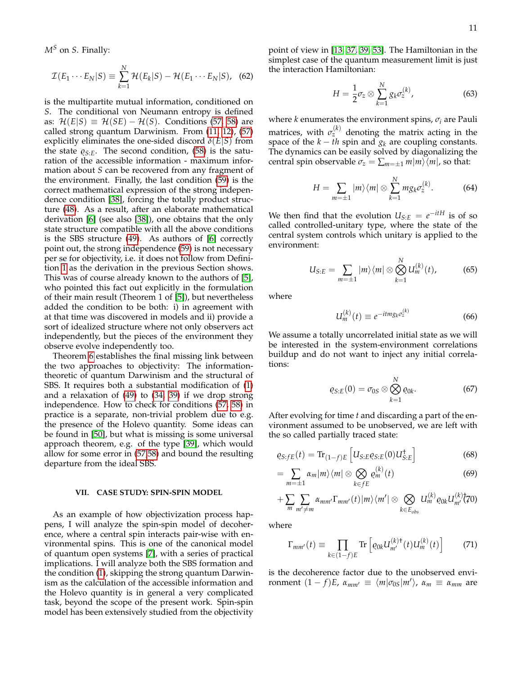*M<sup>S</sup>* on *S*. Finally:

$$
\mathcal{I}(E_1 \cdots E_N | S) \equiv \sum_{k=1}^N \mathcal{H}(E_k | S) - \mathcal{H}(E_1 \cdots E_N | S), \quad (62)
$$

is the multipartite mutual information, conditioned on *S*. The conditional von Neumann entropy is defined as:  $\mathcal{H}(E|S) \equiv \mathcal{H}(SE) - \mathcal{H}(S)$ . Conditions [\(57, 58\)](#page-9-1) are called strong quantum Darwinism. From [\(11,](#page-3-4) [12\)](#page-3-3), [\(57\)](#page-9-1) explicitly eliminates the one-sided discord *δ*(*E*|*S*) from the state  $\varrho_{S:E}$ . The second condition, [\(58\)](#page-9-1) is the saturation of the accessible information - maximum information about *S* can be recovered from any fragment of the environment. Finally, the last condition [\(59\)](#page-9-1) is the correct mathematical expression of the strong independence condition [\[38\]](#page-16-1), forcing the totally product structure [\(48\)](#page-8-0). As a result, after an elaborate mathematical derivation [\[6\]](#page-14-4) (see also [\[38\]](#page-16-1)), one obtains that the only state structure compatible with all the above conditions is the SBS structure [\(49\)](#page-8-1). As authors of [\[6\]](#page-14-4) correctly point out, the strong independence [\(59\)](#page-9-1) is not necessary per se for objectivity, i.e. it does not follow from Definition [1](#page-0-1) as the derivation in the previous Section shows. This was of course already known to the authors of [\[5\]](#page-14-3), who pointed this fact out explicitly in the formulation of their main result (Theorem 1 of [\[5\]](#page-14-3)), but nevertheless added the condition to be both: i) in agreement with at that time was discovered in models and ii) provide a sort of idealized structure where not only observers act independently, but the pieces of the environment they observe evolve independently too.

Theorem [6](#page-9-2) establishes the final missing link between the two approaches to objectivity: The informationtheoretic of quantum Darwinism and the structural of SBS. It requires both a substantial modification of [\(1\)](#page-1-1) and a relaxation of [\(49\)](#page-8-1) to [\(34,](#page-6-5) [39\)](#page-7-0) if we drop strong independence. How to check for conditions [\(57, 58\)](#page-9-1) in practice is a separate, non-trivial problem due to e.g. the presence of the Holevo quantity. Some ideas can be found in [\[50\]](#page-16-13), but what is missing is some universal approach theorem, e.g. of the type [\[39\]](#page-16-2), which would allow for some error in [\(57,58\)](#page-9-1) and bound the resulting departure from the ideal SBS.

# <span id="page-10-5"></span>**VII. CASE STUDY: SPIN-SPIN MODEL**

As an example of how objectivization process happens, I will analyze the spin-spin model of decoherence, where a central spin interacts pair-wise with environmental spins. This is one of the canonical model of quantum open systems [\[7\]](#page-14-5), with a series of practical implications. I will analyze both the SBS formation and the condition [\(1\)](#page-1-1), skipping the strong quantum Darwinism as the calculation of the accessible information and the Holevo quantity is in general a very complicated task, beyond the scope of the present work. Spin-spin model has been extensively studied from the objectivity point of view in [\[13,](#page-15-5) [37,](#page-16-0) [39,](#page-16-2) [53\]](#page-16-14). The Hamiltonian in the simplest case of the quantum measurement limit is just the interaction Hamiltonian:

<span id="page-10-1"></span>
$$
H = \frac{1}{2}\sigma_z \otimes \sum_{k=1}^{N} g_k \sigma_z^{(k)}, \qquad (63)
$$

where *k* enumerates the environment spins,  $\sigma_i$  are Pauli matrices, with  $\sigma_z^{(k)}$  denoting the matrix acting in the space of the  $k - th$  spin and  $g_k$  are coupling constants. The dynamics can be easily solved by diagonalizing the central spin observable  $\sigma_z = \sum_{m=\pm 1} m|m\rangle\langle m|$ , so that:

$$
H = \sum_{m=\pm 1} |m\rangle\langle m| \otimes \sum_{k=1}^{N} m g_k \sigma_z^{(k)}.
$$
 (64)

We then find that the evolution  $U_{S:E} = e^{-itH}$  is of so called controlled-unitary type, where the state of the central system controls which unitary is applied to the environment:

<span id="page-10-3"></span>
$$
U_{S:E} = \sum_{m=\pm 1} |m\rangle\langle m| \otimes \bigotimes_{k=1}^{N} U_m^{(k)}(t), \qquad (65)
$$

where

$$
U_m^{(k)}(t) \equiv e^{-itm g_k \sigma_z^{(k)}} \tag{66}
$$

<span id="page-10-4"></span>We assume a totally uncorrelated initial state as we will be interested in the system-environment correlations buildup and do not want to inject any initial correlations:

$$
\varrho_{S:E}(0)=\sigma_{0S}\otimes\bigotimes_{k=1}^N\varrho_{0k}.\tag{67}
$$

After evolving for time *t* and discarding a part of the environment assumed to be unobserved, we are left with the so called partially traced state:

<span id="page-10-0"></span>
$$
\varrho_{S:FE}(t) = \text{Tr}_{(1-f)E} \left[ U_{S:E} \varrho_{S:E}(0) U_{S:E}^{\dagger} \right]
$$
 (68)

$$
=\sum_{m=\pm 1}\alpha_m|m\rangle\langle m|\otimes\bigotimes_{k\in fE}e_m^{(k)}(t)\qquad\qquad(69)
$$

$$
+\sum_{m}\sum_{m'\neq m}\alpha_{mm'}\Gamma_{mm'}(t)|m\rangle\langle m'|\otimes\bigotimes_{k\in E_{obs}}U_{m}^{(k)}\varrho_{0k}U_{m'}^{(k)}(70)
$$

where

<span id="page-10-2"></span>
$$
\Gamma_{mm'}(t) \equiv \prod_{k \in (1-f)E} \text{Tr} \left[ \varrho_{0k} U_{m'}^{(k)\dagger}(t) U_m^{(k)}(t) \right] \tag{71}
$$

is the decoherence factor due to the unobserved environment  $(1 - f)E$ ,  $\alpha_{mm'} \equiv \langle m|\sigma_{0S}|m'\rangle$ ,  $\alpha_m \equiv \alpha_{mm}$  are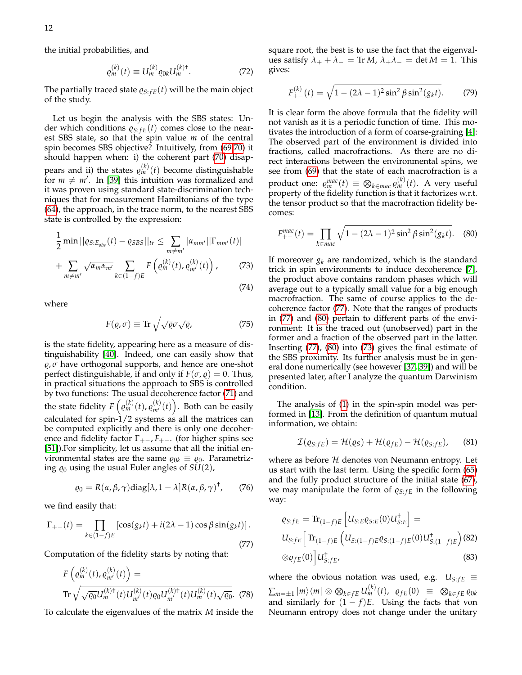the initial probabilities, and

$$
\varrho_m^{(k)}(t) \equiv U_m^{(k)} \varrho_{0k} U_m^{(k)\dagger}.
$$
 (72)

The partially traced state  $\varrho_{S:FE}(t)$  will be the main object of the study.

Let us begin the analysis with the SBS states: Under which conditions  $\varrho_{S:FE}(t)$  comes close to the nearest SBS state, so that the spin value *m* of the central spin becomes SBS objective? Intuitively, from [\(69,70\)](#page-10-0) it should happen when: i) the coherent part [\(70\)](#page-10-0) disappears and ii) the states  $\varrho_m^{(k)}(t)$  become distinguishable for  $m \neq m'$ . In [\[39\]](#page-16-2) this intuition was formalized and it was proven using standard state-discrimination techniques that for measurement Hamiltonians of the type [\(64\)](#page-10-1), the approach, in the trace norm, to the nearest SBS state is controlled by the expression:

<span id="page-11-2"></span>
$$
\frac{1}{2} \min ||\varrho_{S:E_{obs}}(t) - \varrho_{SBS}||_{tr} \leq \sum_{m \neq m'} |\alpha_{mm'}||\Gamma_{mm'}(t)| + \sum_{m \neq m'} \sqrt{\alpha_m \alpha_{m'}} \sum_{k \in (1-f)E} F\left(\varrho_m^{(k)}(t), \varrho_{m'}^{(k)}(t)\right), \tag{73}
$$

where

$$
F(\varrho, \sigma) \equiv \text{Tr}\sqrt{\sqrt{\varrho}\sigma\sqrt{\varrho}},\tag{75}
$$

(74)

is the state fidelity, appearing here as a measure of distinguishability [\[40\]](#page-16-3). Indeed, one can easily show that  $\varrho$ ,  $\sigma$  have orthogonal supports, and hence are one-shot perfect distinguishable, if and only if  $F(\sigma, \rho) = 0$ . Thus, in practical situations the approach to SBS is controlled by two functions: The usual decoherence factor [\(71\)](#page-10-2) and the state fidelity  $F\left(\varrho_{m}^{(k)}(t), \varrho_{m'}^{(k)}(t)\right)$ . Both can be easily calculated for spin-1/2 systems as all the matrices can be computed explicitly and there is only one decoherence and fidelity factor  $\Gamma_{+-}$ ,  $F_{+-}$ . (for higher spins see [\[51\]](#page-16-15)).For simplicity, let us assume that all the initial environmental states are the same  $\varrho_{0k} \equiv \varrho_0$ . Parametrizing  $\varrho_0$  using the usual Euler angles of  $SU(2)$ ,

<span id="page-11-0"></span>
$$
\varrho_0 = R(\alpha, \beta, \gamma) \text{diag}[\lambda, 1 - \lambda] R(\alpha, \beta, \gamma)^{\dagger}, \qquad (76)
$$

we find easily that:

$$
\Gamma_{+-}(t) = \prod_{k \in (1-f)E} \left[ \cos(g_k t) + i(2\lambda - 1) \cos \beta \sin(g_k t) \right].
$$
\n(77)

Computation of the fidelity starts by noting that:

$$
F\left(\varrho_m^{(k)}(t), \varrho_{m'}^{(k)}(t)\right) =
$$
  
Tr  $\sqrt{\sqrt{\varrho_0}U_m^{(k)\dagger}(t)U_{m'}^{(k)}(t)\varrho_0 U_{m'}^{(k)\dagger}(t)U_m^{(k)}(t)\sqrt{\varrho_0}}.$  (78)

To calculate the eigenvalues of the matrix *M* inside the

square root, the best is to use the fact that the eigenvalues satisfy  $\lambda_+ + \lambda_- = \text{Tr } M$ ,  $\lambda_+ \lambda_- = \det M = 1$ . This gives:

$$
F_{+-}^{(k)}(t) = \sqrt{1 - (2\lambda - 1)^2 \sin^2 \beta \sin^2(g_k t)}.
$$
 (79)

It is clear form the above formula that the fidelity will not vanish as it is a periodic function of time. This motivates the introduction of a form of coarse-graining [\[4\]](#page-14-2): The observed part of the environment is divided into fractions, called macrofractions. As there are no direct interactions between the environmental spins, we see from [\(69\)](#page-10-0) that the state of each macrofraction is a product one:  $\varrho_m^{mac}(t) \, \equiv \, \bigotimes_{k \in \mathit{mac}} \varrho_m^{(k)}(t).$  A very useful property of the fidelity function is that it factorizes w.r.t. the tensor product so that the macrofraction fidelity becomes:

<span id="page-11-1"></span>
$$
F_{+-}^{mac}(t) = \prod_{k \in mac} \sqrt{1 - (2\lambda - 1)^2 \sin^2 \beta \sin^2(g_k t)}.
$$
 (80)

If moreover *g<sup>k</sup>* are randomized, which is the standard trick in spin environments to induce decoherence [\[7\]](#page-14-5), the product above contains random phases which will average out to a typically small value for a big enough macrofraction. The same of course applies to the decoherence factor [\(77\)](#page-11-0). Note that the ranges of products in [\(77\)](#page-11-0) and [\(80\)](#page-11-1) pertain to different parts of the environment: It is the traced out (unobserved) part in the former and a fraction of the observed part in the latter. Inserting [\(77\)](#page-11-0), [\(80\)](#page-11-1) into [\(73\)](#page-11-2) gives the final estimate of the SBS proximity. Its further analysis must be in general done numerically (see however [\[37,](#page-16-0) [39\]](#page-16-2)) and will be presented later, after I analyze the quantum Darwinism condition.

The analysis of [\(1\)](#page-1-1) in the spin-spin model was performed in [\[13\]](#page-15-5). From the definition of quantum mutual information, we obtain:

$$
\mathcal{I}(\varrho_{S:fe}) = \mathcal{H}(\varrho_S) + \mathcal{H}(\varrho_{fe}) - \mathcal{H}(\varrho_{S:fe}), \qquad (81)
$$

<span id="page-11-3"></span>where as before  $H$  denotes von Neumann entropy. Let us start with the last term. Using the specific form [\(65\)](#page-10-3) and the fully product structure of the initial state [\(67\)](#page-10-4), we may manipulate the form of  $\varrho_{S:FE}$  in the following way:

$$
\varrho_{S:FE} = \text{Tr}_{(1-f)E} \left[ U_{S:E} \varrho_{S:E}(0) U_{S:E}^{\dagger} \right] =
$$
  
\n
$$
U_{S:FE} \left[ \text{Tr}_{(1-f)E} \left( U_{S:(1-f)E} \varrho_{S:(1-f)E}(0) U_{S:(1-f)E}^{\dagger} \right) (82) \right]
$$
  
\n
$$
\otimes \varrho_{fE}(0) \left[ U_{S:FE}^{\dagger}, \right]
$$
\n(83)

where the obvious notation was used, e.g.  $U_{S:FE} \equiv$  $\sum_{m=\pm 1} |m\rangle\langle m| \otimes \bigotimes_{k \in fE} U_m^{(k)}(t)$ ,  $\varrho_{fE}(0) \;\; \equiv \;\; \bigotimes_{k \in fE} \varrho_{0k}$ and similarly for  $(1 - f)E$ . Using the facts that von Neumann entropy does not change under the unitary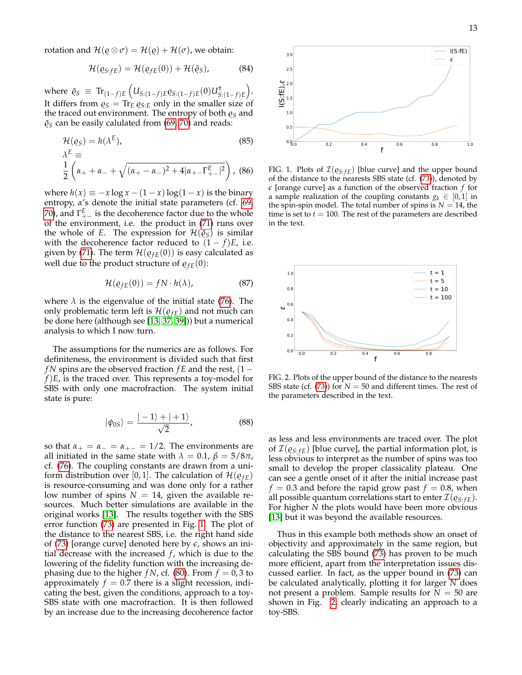rotation and  $\mathcal{H}(\rho \otimes \sigma) = \mathcal{H}(\rho) + \mathcal{H}(\sigma)$ , we obtain:

$$
\mathcal{H}(\varrho_{S:FE}) = \mathcal{H}(\varrho_{FE}(0)) + \mathcal{H}(\tilde{\varrho}_S), \tag{84}
$$

where  $\tilde{\varrho}_S \equiv \text{Tr}_{(1-f)E} (U_{S:(1-f)E} \varrho_{S:(1-f)E}(0) U_{S:(1-f)E}^{\dagger}).$ It differs from  $\varrho_S = \text{Tr}_E \varrho_{S:E}$  only in the smaller size of the traced out environment. The entropy of both  $\varrho_S$  and  $\tilde{\varrho}_S$  can be easily calulated from [\(69, 70\)](#page-10-0) and reads:

$$
\mathcal{H}(e_S) = h(\lambda^E),
$$
\n
$$
\lambda^E \equiv
$$
\n
$$
\frac{1}{2} \left( \alpha_+ + \alpha_- + \sqrt{(\alpha_+ - \alpha_-)^2 + 4|\alpha_+ - \Gamma^E_{+-}|^2} \right),
$$
\n(86)

where  $h(x) \equiv -x \log x - (1-x) \log(1-x)$  is the binary entropy, *α*'s denote the initial state parameters (cf. [69,](#page-10-0) [70\)](#page-10-0), and  $\Gamma^E_{+-}$  is the decoherence factor due to the whole of the environment, i.e. the product in [\(71\)](#page-10-2) runs over the whole of *E*. The expression for  $\mathcal{H}(\tilde{\rho}_S)$  is similar with the decoherence factor reduced to  $(1 - f)E$ , i.e. given by [\(71\)](#page-10-2). The term  $\mathcal{H}(\varrho_{fE}(0))$  is easy calculated as well due to the product structure of  $\rho_{fE}(0)$ :

$$
\mathcal{H}(\varrho_{fE}(0)) = fN \cdot h(\lambda), \tag{87}
$$

where  $\lambda$  is the eigenvalue of the initial state [\(76\)](#page-11-3). The only problematic term left is  $\mathcal{H}(\varrho_{fE})$  and not much can be done here (although see [\[13,](#page-15-5) [37,](#page-16-0) [39\]](#page-16-2))) but a numerical analysis to which I now turn.

The assumptions for the numerics are as follows. For definiteness, the environment is divided such that first *fN* spins are the observed fraction *fE* and the rest, (1 − *f*)*E*, is the traced over. This represents a toy-model for SBS with only one macrofraction. The system initial state is pure:

$$
|\psi_{0S}\rangle = \frac{|-1\rangle + |+1\rangle}{\sqrt{2}},\tag{88}
$$

so that  $\alpha_+ = \alpha_- = \alpha_{+-} = 1/2$ . The environments are all initiated in the same state with  $\lambda = 0.1$ ,  $\beta = 5/8\pi$ , cf. [\(76\)](#page-11-3). The coupling constants are drawn from a uniform distribution over [0, 1]. The calculation of  $\mathcal{H}(\varrho_{fE})$ is resource-consuming and was done only for a rather low number of spins  $N = 14$ , given the available resources. Much better simulations are available in the original works [\[13\]](#page-15-5). The results together with the SBS error function [\(73\)](#page-11-2) are presented in Fig. [1.](#page-12-0) The plot of the distance to the nearest SBS, i.e. the right hand side of [\(73\)](#page-11-2) [orange curve] denoted here by *e*, shows an initial decrease with the increased *f* , which is due to the lowering of the fidelity function with the increasing dephasing due to the higher *fN*, cf. [\(80\)](#page-11-1). From  $f = 0.3$  to approximately  $f = 0.7$  there is a slight recession, indicating the best, given the conditions, approach to a toy-SBS state with one macrofraction. It is then followed by an increase due to the increasing decoherence factor



<span id="page-12-0"></span>FIG. 1. Plots of  $\mathcal{I}(\varrho_{S:FE})$  [blue curve] and the upper bound of the distance to the nearests SBS state (cf. [\(73\)](#page-11-2)), denoted by *e* [orange curve] as a function of the observed fraction *f* for a sample realization of the coupling constants  $g_k \in [0,1]$  in the spin-spin model. The total number of spins is  $N = 14$ , the time is set to  $t = 100$ . The rest of the parameters are described in the text.



<span id="page-12-1"></span>FIG. 2. Plots of the upper bound of the distance to the nearests SBS state (cf.  $(73)$ ) for  $N = 50$  and different times. The rest of the parameters described in the text.

as less and less environments are traced over. The plot of  $\mathcal{I}(\varrho_{S:FE})$  [blue curve], the partial information plot, is less obvious to interpret as the number of spins was too small to develop the proper classicality plateau. One can see a gentle onset of it after the initial increase past  $f = 0.3$  and before the rapid grow past  $f = 0.8$ , when all possible quantum correlations start to enter  $\mathcal{I}(\varrho_{S:FE})$ . For higher *N* the plots would have been more obvious [\[13\]](#page-15-5) but it was beyond the available resources.

Thus in this example both methods show an onset of objectivity and approximately in the same region, but calculating the SBS bound [\(73\)](#page-11-2) has proven to be much more efficient, apart from the interpretation issues discussed earlier. In fact, as the upper bound in [\(73\)](#page-11-2) can be calculated analytically, plotting it for larger *N* does not present a problem. Sample results for  $N = 50$  are shown in Fig. [2,](#page-12-1) clearly indicating an approach to a toy-SBS.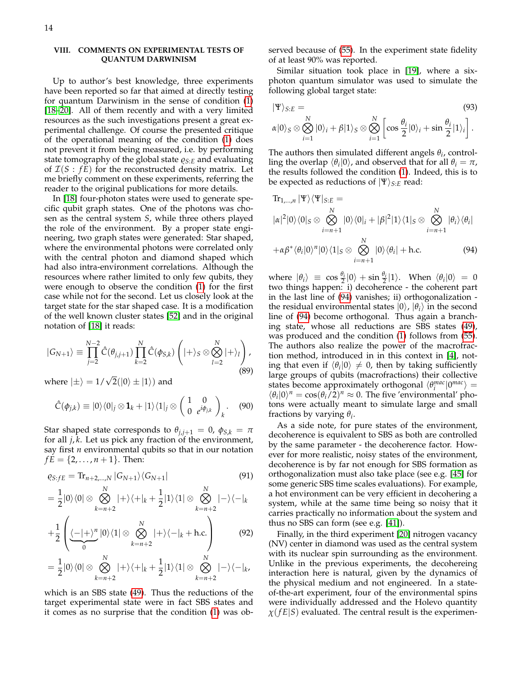# <span id="page-13-0"></span>**VIII. COMMENTS ON EXPERIMENTAL TESTS OF QUANTUM DARWINISM**

Up to author's best knowledge, three experiments have been reported so far that aimed at directly testing for quantum Darwinism in the sense of condition [\(1\)](#page-1-1) [\[18](#page-15-9)[–20\]](#page-15-10). All of them recently and with a very limited resources as the such investigations present a great experimental challenge. Of course the presented critique of the operational meaning of the condition [\(1\)](#page-1-1) does not prevent it from being measured, i.e. by performing state tomography of the global state  $\varrho_{S:E}$  and evaluating of  $\mathcal{I}(S : fE)$  for the reconstructed density matrix. Let me briefly comment on these experiments, referring the reader to the original publications for more details.

In [\[18\]](#page-15-9) four-photon states were used to generate specific qubit graph states. One of the photons was chosen as the central system *S*, while three others played the role of the environment. By a proper state engineering, two graph states were generated: Star shaped, where the environmental photons were correlated only with the central photon and diamond shaped which had also intra-environment correlations. Although the resources where rather limited to only few qubits, they were enough to observe the condition [\(1\)](#page-1-1) for the first case while not for the second. Let us closely look at the target state for the star shaped case. It is a modification of the well known cluster states [\[52\]](#page-16-16) and in the original notation of [\[18\]](#page-15-9) it reads:

$$
|G_{N+1}\rangle \equiv \prod_{j=2}^{N-2} \hat{C}(\theta_{j,j+1}) \prod_{k=2}^{N} \hat{C}(\phi_{S,k}) \left( |+\rangle_S \otimes \bigotimes_{l=2}^{N} |+\rangle_l \right), \tag{89}
$$

where  $|\pm\rangle = 1/\sqrt{2}(|0\rangle \pm |1\rangle)$  and

*k*=*n*+2

$$
\hat{C}(\phi_{j,k}) \equiv |0\rangle\langle 0|_j \otimes \mathbf{1}_k + |1\rangle\langle 1|_j \otimes \begin{pmatrix} 1 & 0 \\ 0 & e^{i\phi_{j,k}} \end{pmatrix}_k.
$$
 (90)

Star shaped state corresponds to  $\theta_{j,j+1} = 0$ ,  $\phi_{S,k} = \pi$ for all *j*, *k*. Let us pick any fraction of the environment, say first *n* environmental qubits so that in our notation  $fE = \{2, \ldots, n+1\}$ . Then:

$$
\varrho_{S: fE} = \text{Tr}_{n+2,\dots,N} |G_{N+1}\rangle \langle G_{N+1}| \tag{91}
$$

$$
= \frac{1}{2}|0\rangle\langle 0| \otimes \bigotimes_{k=n+2}^{N} |+\rangle\langle +|_{k} + \frac{1}{2}|1\rangle\langle 1| \otimes \bigotimes_{k=n+2}^{N} |-\rangle\langle -|_{k} + \frac{1}{2}\left(\langle -|+\rangle^{n}|0\rangle\langle 1|\otimes \bigotimes_{k=n+2}^{N} |+\rangle\langle -|_{k} + \text{h.c.}\right) \tag{92}
$$

$$
+\frac{1}{2}\left(\underbrace{\langle-|+\rangle^{n}}_{0}|0\rangle\langle 1|\otimes \bigotimes_{k=n+2}|+\rangle\langle-|_{k}+h.c.\right) \tag{92}
$$
\n
$$
=\frac{1}{2}|0\rangle\langle 0|\otimes \bigotimes_{k=n+2}|+\rangle\langle+|_{k}+\frac{1}{2}|1\rangle\langle 1|\otimes \bigotimes_{k=n+2}|-\rangle\langle-|_{k},
$$

*k*=*n*+2

which is an SBS state [\(49\)](#page-8-1). Thus the reductions of the target experimental state were in fact SBS states and it comes as no surprise that the condition [\(1\)](#page-1-1) was observed because of [\(55\)](#page-8-2). In the experiment state fidelity of at least 90% was reported.

Similar situation took place in [\[19\]](#page-15-27), where a sixphoton quantum simulator was used to simulate the following global target state:

$$
|\Psi\rangle_{S:E} = (93)
$$
  

$$
\alpha|0\rangle_{S} \otimes \bigotimes_{i=1}^{N} |0\rangle_{i} + \beta|1\rangle_{S} \otimes \bigotimes_{i=1}^{N} \left[\cos\frac{\theta_{i}}{2}|0\rangle_{i} + \sin\frac{\theta_{i}}{2}|1\rangle_{i}\right].
$$

The authors then simulated different angels  $\theta_i$ , controlling the overlap  $\langle \theta_i | 0 \rangle$ , and observed that for all  $\theta_i = \pi$ , the results followed the condition [\(1\)](#page-1-1). Indeed, this is to be expected as reductions of  $|\Psi\rangle_{S:E}$  read:

<span id="page-13-1"></span>
$$
\text{Tr}_{1,\dots,n} |\Psi\rangle\langle\Psi|_{S:E} =
$$
\n
$$
|\alpha|^2 |0\rangle\langle 0|_S \otimes \bigotimes_{i=n+1}^N |0\rangle\langle 0|_i + |\beta|^2 |1\rangle\langle 1|_S \otimes \bigotimes_{i=n+1}^N |\theta_i\rangle\langle \theta_i|
$$
\n
$$
+\alpha\beta^*\langle \theta_i |0\rangle^n |0\rangle\langle 1|_S \otimes \bigotimes_{i=n+1}^N |0\rangle\langle \theta_i| + \text{h.c.}
$$
\n(94)

where  $|\theta_i\rangle \equiv \cos \frac{\theta_i}{2} |0\rangle + \sin \frac{\theta_i}{2} |1\rangle$ . When  $\langle \theta_i | 0 \rangle = 0$ two things happen: i) decoherence - the coherent part in the last line of [\(94\)](#page-13-1) vanishes; ii) orthogonalization the residual environmental states  $|0\rangle$ ,  $|\theta_i\rangle$  in the second line of [\(94\)](#page-13-1) become orthogonal. Thus again a branching state, whose all reductions are SBS states [\(49\)](#page-8-1), was produced and the condition [\(1\)](#page-1-1) follows from [\(55\)](#page-8-2). The authors also realize the power of the macrofraction method, introduced in in this context in [\[4\]](#page-14-2), noting that even if  $\langle \theta_i | 0 \rangle \neq 0$ , then by taking sufficiently large groups of qubits (macrofractions) their collective states become approximately orthogonal  $\langle \theta_i^{mac} | 0^{mac} \rangle =$  $\langle \theta_i | 0 \rangle^n = \cos(\theta_i / 2)^n \approx 0$ . The five 'environmental' photons were actually meant to simulate large and small fractions by varying *θ<sup>i</sup>* .

As a side note, for pure states of the environment, decoherence is equivalent to SBS as both are controlled by the same parameter - the decoherence factor. However for more realistic, noisy states of the environment, decoherence is by far not enough for SBS formation as orthogonalization must also take place (see e.g. [\[45\]](#page-16-8) for some generic SBS time scales evaluations). For example, a hot environment can be very efficient in decohering a system, while at the same time being so noisy that it carries practically no information about the system and thus no SBS can form (see e.g. [\[41\]](#page-16-4)).

Finally, in the third experiment [\[20\]](#page-15-10) nitrogen vacancy (NV) center in diamond was used as the central system with its nuclear spin surrounding as the environment. Unlike in the previous experiments, the decohereing interaction here is natural, given by the dynamics of the physical medium and not engineered. In a stateof-the-art experiment, four of the environmental spins were individually addressed and the Holevo quantity  $\chi$ ( $f$ *E*|*S*) evaluated. The central result is the experimen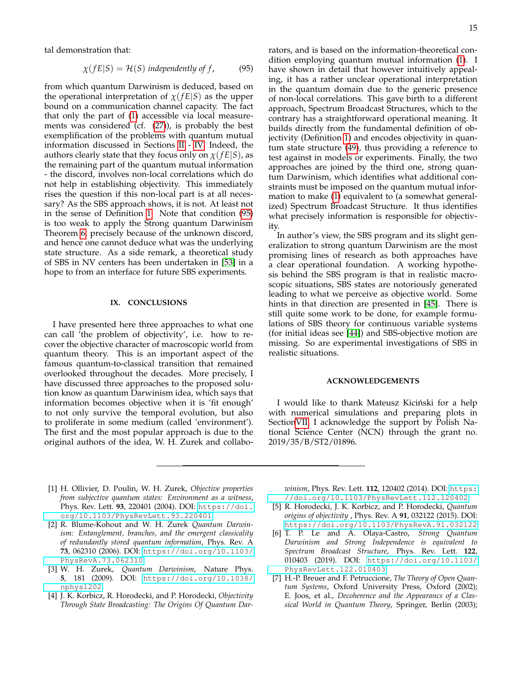tal demonstration that:

<span id="page-14-7"></span>
$$
\chi(fE|S) = \mathcal{H}(S) \text{ independently of } f,
$$
 (95)

from which quantum Darwinism is deduced, based on the operational interpretation of *χ*(*f E*|*S*) as the upper bound on a communication channel capacity. The fact that only the part of [\(1\)](#page-1-1) accessible via local measurements was considered (cf. [\(27\)](#page-5-3)), is probably the best exemplification of the problems with quantum mutual information discussed in Sections [II](#page-1-0) - [IV.](#page-4-0) Indeed, the authors clearly state that they focus only on  $\chi$ ( $fE|S$ ), as the remaining part of the quantum mutual information - the discord, involves non-local correlations which do not help in establishing objectivity. This immediately rises the question if this non-local part is at all necessary? As the SBS approach shows, it is not. At least not in the sense of Definition [1.](#page-0-1) Note that condition [\(95\)](#page-14-7) is too weak to apply the Strong quantum Darwinism Theorem [6,](#page-9-2) precisely because of the unknown discord, and hence one cannot deduce what was the underlying state structure. As a side remark, a theoretical study of SBS in NV centers has been undertaken in [\[53\]](#page-16-14) in a hope to from an interface for future SBS experiments.

#### **IX. CONCLUSIONS**

I have presented here three approaches to what one can call 'the problem of objectivity', i.e. how to recover the objective character of macroscopic world from quantum theory. This is an important aspect of the famous quantum-to-classical transition that remained overlooked throughout the decades. More precisely, I have discussed three approaches to the proposed solution know as quantum Darwinism idea, which says that information becomes objective when it is 'fit enough' to not only survive the temporal evolution, but also to proliferate in some medium (called 'environment'). The first and the most popular approach is due to the original authors of the idea, W. H. Zurek and collaborators, and is based on the information-theoretical condition employing quantum mutual information [\(1\)](#page-1-1). I have shown in detail that however intuitively appealing, it has a rather unclear operational interpretation in the quantum domain due to the generic presence of non-local correlations. This gave birth to a different approach, Spectrum Broadcast Structures, which to the contrary has a straightforward operational meaning. It builds directly from the fundamental definition of objectivity (Definition [1\)](#page-0-1) and encodes objectivity in quantum state structure [\(49\)](#page-8-1), thus providing a reference to test against in models or experiments. Finally, the two approaches are joined by the third one, strong quantum Darwinism, which identifies what additional constraints must be imposed on the quantum mutual information to make [\(1\)](#page-1-1) equivalent to (a somewhat generalized) Spectrum Broadcast Structure. It thus identifies what precisely information is responsible for objectivity.

In author's view, the SBS program and its slight generalization to strong quantum Darwinism are the most promising lines of research as both approaches have a clear operational foundation. A working hypothesis behind the SBS program is that in realistic macroscopic situations, SBS states are notoriously generated leading to what we perceive as objective world. Some hints in that direction are presented in [\[45\]](#page-16-8). There is still quite some work to be done, for example formulations of SBS theory for continuous variable systems (for initial ideas see [\[44\]](#page-16-7)) and SBS-objective motion are missing. So are experimental investigations of SBS in realistic situations.

### **ACKNOWLEDGEMENTS**

I would like to thank Mateusz Kiciński for a help with numerical simulations and preparing plots in Sectio[nVII.](#page-10-5) I acknowledge the support by Polish National Science Center (NCN) through the grant no. 2019/35/B/ST2/01896.

- <span id="page-14-0"></span>[1] H. Ollivier, D. Poulin, W. H. Zurek, *Objective properties from subjective quantum states: Environment as a witness*, Phys. Rev. Lett. **93**, 220401 (2004). DOI: [https://doi.](https://doi.org/10.1103/PhysRevLett.93.220401) [org/10.1103/PhysRevLett.93.220401](https://doi.org/10.1103/PhysRevLett.93.220401)
- <span id="page-14-6"></span>[2] R. Blume-Kohout and W. H. Zurek *Quantum Darwinism: Entanglement, branches, and the emergent classicality of redundantly stored quantum information*, Phys. Rev. A **73**, 062310 (2006). DOI: [https://doi.org/10.1103/](https://doi.org/10.1103/PhysRevA.73.062310) [PhysRevA.73.062310](https://doi.org/10.1103/PhysRevA.73.062310)
- <span id="page-14-1"></span>[3] W. H. Zurek, *Quantum Darwinism*, Nature Phys. **5**, 181 (2009). DOI: [https://doi.org/10.1038/](https://doi.org/10.1038/nphys1202) [nphys1202](https://doi.org/10.1038/nphys1202)
- <span id="page-14-2"></span>[4] J. K. Korbicz, R. Horodecki, and P. Horodecki, *Objectivity Through State Broadcasting: The Origins Of Quantum Dar-*

*winism*, Phys. Rev. Lett. **112**, 120402 (2014). DOI: [https:](https://doi.org/10.1103/PhysRevLett.112.120402) [//doi.org/10.1103/PhysRevLett.112.120402](https://doi.org/10.1103/PhysRevLett.112.120402)

- <span id="page-14-3"></span>[5] R. Horodecki, J. K. Korbicz, and P. Horodecki, *Quantum origins of objectivity* , Phys. Rev. A **91**, 032122 (2015). DOI: <https://doi.org/10.1103/PhysRevA.91.032122>
- <span id="page-14-4"></span>[6] T. P. Le and A. Olaya-Castro, *Strong Quantum Darwinism and Strong Independence is equivalent to Spectrum Broadcast Structure*, Phys. Rev. Lett. **122**, 010403 (2019). DOI: [https://doi.org/10.1103/](https://doi.org/10.1103/PhysRevLett.122.010403) [PhysRevLett.122.010403](https://doi.org/10.1103/PhysRevLett.122.010403)
- <span id="page-14-5"></span>[7] H.-P. Breuer and F. Petruccione, *The Theory of Open Quantum Systems*, Oxford University Press, Oxford (2002); E. Joos, et al., *Decoherence and the Appearancs of a Classical World in Quantum Theory*, Springer, Berlin (2003);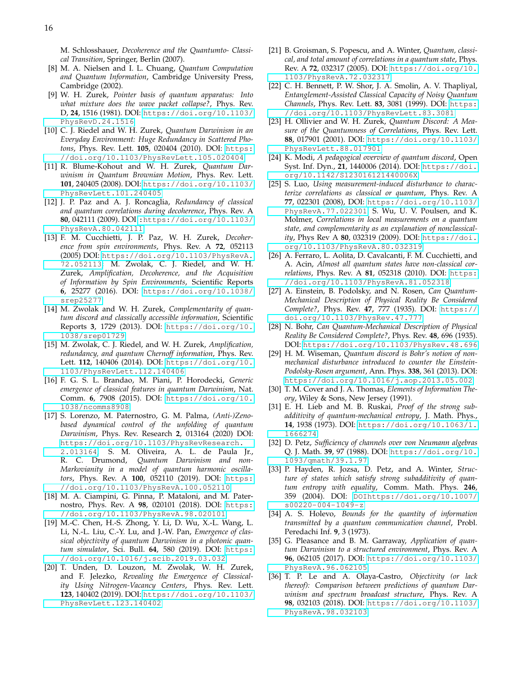M. Schlosshauer, *Decoherence and the Quantumto- Classical Transition*, Springer, Berlin (2007).

- <span id="page-15-0"></span>[8] M. A. Nielsen and I. L. Chuang, *Quantum Computation and Quantum Information*, Cambridge University Press, Cambridge (2002).
- <span id="page-15-1"></span>[9] W. H. Zurek, *Pointer basis of quantum apparatus: Into what mixture does the wave packet collapse?*, Phys. Rev. D, **24**, 1516 (1981). DOI: [https://doi.org/10.1103/](https://doi.org/10.1103/PhysRevD.24.1516) [PhysRevD.24.1516](https://doi.org/10.1103/PhysRevD.24.1516)
- <span id="page-15-2"></span>[10] C. J. Riedel and W. H. Zurek, *Quantum Darwinism in an Everyday Environment: Huge Redundancy in Scattered Photons*, Phys. Rev. Lett. **105**, 020404 (2010). DOI: [https:](https://doi.org/10.1103/PhysRevLett.105.020404) [//doi.org/10.1103/PhysRevLett.105.020404](https://doi.org/10.1103/PhysRevLett.105.020404)
- <span id="page-15-3"></span>[11] R. Blume-Kohout and W. H. Zurek, *Quantum Darwinism in Quantum Brownian Motion*, Phys. Rev. Lett. **101**, 240405 (2008). DOI: [https://doi.org/10.1103/](https://doi.org/10.1103/PhysRevLett.101.240405) [PhysRevLett.101.240405](https://doi.org/10.1103/PhysRevLett.101.240405)
- <span id="page-15-4"></span>[12] J. P. Paz and A. J. Roncaglia, *Redundancy of classical and quantum correlations during decoherence*, Phys. Rev. A **80**, 042111 (2009). DOI [:https://doi.org/10.1103/](:https://doi.org/10.1103/PhysRevA.80.042111) [PhysRevA.80.042111](:https://doi.org/10.1103/PhysRevA.80.042111)
- <span id="page-15-5"></span>[13] F. M. Cucchietti, J. P. Paz, W. H. Zurek, *Decoherence from spin environments*, Phys. Rev. A **72**, 052113 (2005) DOI: [https://doi.org/10.1103/PhysRevA.](https://doi.org/10.1103/PhysRevA.72.052113) [72.052113](https://doi.org/10.1103/PhysRevA.72.052113); M. Zwolak, C. J. Riedel, and W. H. Zurek, *Amplification, Decoherence, and the Acquisition of Information by Spin Environments*, Scientific Reports **6**, 25277 (2016). DOI: [https://doi.org/10.1038/](https://doi.org/10.1038/srep25277) [srep25277](https://doi.org/10.1038/srep25277)
- <span id="page-15-6"></span>[14] M. Zwolak and W. H. Zurek, *Complementarity of quantum discord and classically accessible information*, Scientific Reports **3**, 1729 (2013). DOI: [https://doi.org/10.](https://doi.org/10.1038/srep01729) [1038/srep01729](https://doi.org/10.1038/srep01729)
- [15] M. Zwolak, C. J. Riedel, and W. H. Zurek, *Amplification, redundancy, and quantum Chernoff information*, Phys. Rev. Lett. **112**, 140406 (2014). DOI: [https://doi.org/10.](https://doi.org/10.1103/PhysRevLett.112.140406) [1103/PhysRevLett.112.140406](https://doi.org/10.1103/PhysRevLett.112.140406)
- <span id="page-15-7"></span>[16] F. G. S. L. Brandao, M. Piani, P. Horodecki, *Generic emergence of classical features in quantum Darwinism*, Nat. Comm. **6**, 7908 (2015). DOI: [https://doi.org/10.](https://doi.org/10.1038/ncomms8908) [1038/ncomms8908](https://doi.org/10.1038/ncomms8908)
- <span id="page-15-8"></span>[17] S. Lorenzo, M. Paternostro, G. M. Palma, *(Anti-)Zenobased dynamical control of the unfolding of quantum Darwinism*, Phys. Rev. Research **2**, 013164 (2020) DOI: [https://doi.org/10.1103/PhysRevResearch.](https://doi.org/10.1103/PhysRevResearch.2.013164) [2.013164](https://doi.org/10.1103/PhysRevResearch.2.013164); S. M. Oliveira, A. L. de Paula Jr., R. C. Drumond, *Quantum Darwinism and non-Markovianity in a model of quantum harmonic oscillators*, Phys. Rev. A **100**, 052110 (2019). DOI: [https:](https://doi.org/10.1103/PhysRevA.100.052110) [//doi.org/10.1103/PhysRevA.100.052110](https://doi.org/10.1103/PhysRevA.100.052110)
- <span id="page-15-9"></span>[18] M. A. Ciampini, G. Pinna, P. Mataloni, and M. Paternostro, Phys. Rev. A **98**, 020101 (2018). DOI: [https:](https://doi.org/10.1103/PhysRevA.98.020101) [//doi.org/10.1103/PhysRevA.98.020101](https://doi.org/10.1103/PhysRevA.98.020101)
- <span id="page-15-27"></span>[19] M.-C. Chen, H.-S. Zhong, Y. Li, D. Wu, X.-L. Wang, L. Li, N.-L. Liu, C.-Y. Lu, and J.-W. Pan, *Emergence of classical objectivity of quantum Darwinism in a photonic quantum simulator*, Sci. Bull. **64**, 580 (2019). DOI: [https:](https://doi.org/10.1016/j.scib.2019.03.032) [//doi.org/10.1016/j.scib.2019.03.032](https://doi.org/10.1016/j.scib.2019.03.032)
- <span id="page-15-10"></span>[20] T. Unden, D. Louzon, M. Zwolak, W. H. Zurek, and F. Jelezko, *Revealing the Emergence of Classicality Using Nitrogen-Vacancy Centers*, Phys. Rev. Lett. **123**, 140402 (2019). DOI: [https://doi.org/10.1103/](https://doi.org/10.1103/PhysRevLett.123.140402) [PhysRevLett.123.140402](https://doi.org/10.1103/PhysRevLett.123.140402)
- <span id="page-15-11"></span>[21] B. Groisman, S. Popescu, and A. Winter, *Quantum, classical, and total amount of correlations in a quantum state*, Phys. Rev. A **72**, 032317 (2005). DOI: [https://doi.org/10.](https://doi.org/10.1103/PhysRevA.72.032317) [1103/PhysRevA.72.032317](https://doi.org/10.1103/PhysRevA.72.032317)
- <span id="page-15-12"></span>[22] C. H. Bennett, P. W. Shor, J. A. Smolin, A. V. Thapliyal, *Entanglement-Assisted Classical Capacity of Noisy Quantum Channels*, Phys. Rev. Lett. **83**, 3081 (1999). DOI: [https:](https://doi.org/10.1103/PhysRevLett.83.3081) [//doi.org/10.1103/PhysRevLett.83.3081](https://doi.org/10.1103/PhysRevLett.83.3081)
- <span id="page-15-13"></span>[23] H. Ollivier and W. H. Zurek, *Quantum Discord: A Measure of the Quantumness of Correlations*, Phys. Rev. Lett. **88**, 017901 (2001). DOI: [https://doi.org/10.1103/](https://doi.org/10.1103/PhysRevLett.88.017901) [PhysRevLett.88.017901](https://doi.org/10.1103/PhysRevLett.88.017901)
- <span id="page-15-14"></span>[24] K. Modi, *A pedagogical overview of quantum discord*, Open Syst. Inf. Dyn., **21**, 1440006 (2014). DOI: [https://doi.](https://doi.org/10.1142/S123016121440006X) [org/10.1142/S123016121440006X](https://doi.org/10.1142/S123016121440006X)
- <span id="page-15-15"></span>[25] S. Luo, *Using measurement-induced disturbance to characterize correlations as classical or quantum*, Phys. Rev. A **77**, 022301 (2008), DOI: [https://doi.org/10.1103/](https://doi.org/10.1103/PhysRevA.77.022301) [PhysRevA.77.022301](https://doi.org/10.1103/PhysRevA.77.022301). S. Wu, U. V. Poulsen, and K. Molmer, *Correlations in local measurements on a quantum state, and complementarity as an explanation of nonclassicality*, Phys Rev A **80**, 032319 (2009). DOI: [https://doi.](https://doi.org/10.1103/PhysRevA.80.032319) [org/10.1103/PhysRevA.80.032319](https://doi.org/10.1103/PhysRevA.80.032319)
- <span id="page-15-16"></span>[26] A. Ferraro, L. Aolita, D. Cavalcanti, F. M. Cucchietti, and A. Acin, *Almost all quantum states have non-classical correlations*, Phys. Rev. A **81**, 052318 (2010). DOI: [https:](https://doi.org/10.1103/PhysRevA.81.052318) [//doi.org/10.1103/PhysRevA.81.052318](https://doi.org/10.1103/PhysRevA.81.052318)
- <span id="page-15-17"></span>[27] A. Einstein, B. Podolsky, and N. Rosen, *Can Quantum-Mechanical Description of Physical Reality Be Considered Complete?*, Phys. Rev. **47**, 777 (1935). DOI: [https://](https://doi.org/10.1103/PhysRev.47.777) [doi.org/10.1103/PhysRev.47.777](https://doi.org/10.1103/PhysRev.47.777)
- <span id="page-15-18"></span>[28] N. Bohr, *Can Quantum-Mechanical Description of Physical Reality Be Considered Complete?*, Phys. Rev. **48**, 696 (1935). DOI: <https://doi.org/10.1103/PhysRev.48.696>
- <span id="page-15-19"></span>[29] H. M. Wiseman, *Quantum discord is Bohr's notion of nonmechanical disturbance introduced to counter the Einstein-Podolsky-Rosen argument*, Ann. Phys. **338**, 361 (2013). DOI: <https://doi.org/10.1016/j.aop.2013.05.002>
- <span id="page-15-20"></span>[30] T. M. Cover and J. A. Thomas, *Elements of Information Theory*, Wiley & Sons, New Jersey (1991).
- <span id="page-15-21"></span>[31] E. H. Lieb and M. B. Ruskai, *Proof of the strong subadditivity of quantum-mechanical entropy*, J. Math. Phys., **14**, 1938 (1973). DOI: [https://doi.org/10.1063/1.](https://doi.org/10.1063/1.1666274) [1666274](https://doi.org/10.1063/1.1666274)
- <span id="page-15-22"></span>[32] D. Petz, *Sufficiency of channels over von Neumann algebras* Q. J. Math. **39**, 97 (1988). DOI: [https://doi.org/10.](https://doi.org/10.1093/qmath/39.1.97) [1093/qmath/39.1.97](https://doi.org/10.1093/qmath/39.1.97)
- <span id="page-15-23"></span>[33] P. Hayden, R. Jozsa, D. Petz, and A. Winter, *Structure of states which satisfy strong subadditivity of quantum entropy with equality*, Comm. Math. Phys. **246**, 359 (2004). DOI: [DOIhttps://doi.org/10.1007/](DOIhttps://doi.org/10.1007/s00220-004-1049-z) [s00220-004-1049-z](DOIhttps://doi.org/10.1007/s00220-004-1049-z)
- <span id="page-15-24"></span>[34] A. S. Holevo, *Bounds for the quantity of information transmitted by a quantum communication channel*, Probl. Peredachi Inf. **9**, 3 (1973).
- <span id="page-15-25"></span>[35] G. Pleasance and B. M. Garraway, *Application of quantum Darwinism to a structured environment*, Phys. Rev. A **96**, 062105 (2017). DOI: [https://doi.org/10.1103/](https://doi.org/10.1103/PhysRevA.96.062105) [PhysRevA.96.062105](https://doi.org/10.1103/PhysRevA.96.062105)
- <span id="page-15-26"></span>[36] T. P. Le and A. Olaya-Castro, *Objectivity (or lack thereof): Comparison between predictions of quantum Darwinism and spectrum broadcast structure*, Phys. Rev. A **98**, 032103 (2018). DOI: [https://doi.org/10.1103/](https://doi.org/10.1103/PhysRevA.98.032103) [PhysRevA.98.032103](https://doi.org/10.1103/PhysRevA.98.032103)